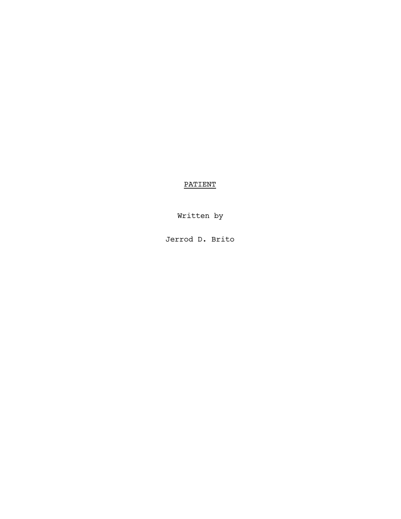# PATIENT

Written by

Jerrod D. Brito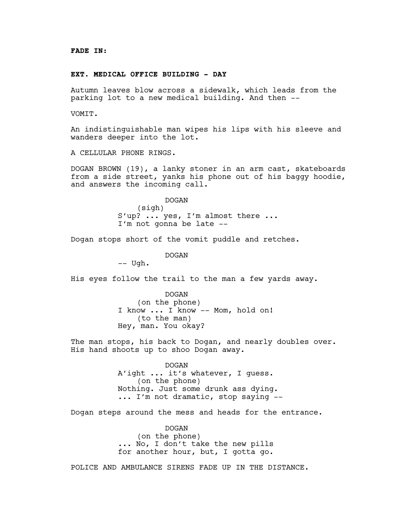#### **EXT. MEDICAL OFFICE BUILDING - DAY**

Autumn leaves blow across a sidewalk, which leads from the parking lot to a new medical building. And then --

VOMIT.

An indistinguishable man wipes his lips with his sleeve and wanders deeper into the lot.

A CELLULAR PHONE RINGS.

DOGAN BROWN (19), a lanky stoner in an arm cast, skateboards from a side street, yanks his phone out of his baggy hoodie, and answers the incoming call.

> DOGAN (sigh) S'up? ... yes, I'm almost there ... I'm not gonna be late --

Dogan stops short of the vomit puddle and retches.

DOGAN

-- Ugh.

His eyes follow the trail to the man a few yards away.

DOGAN (on the phone) I know ... I know -- Mom, hold on! (to the man) Hey, man. You okay?

The man stops, his back to Dogan, and nearly doubles over. His hand shoots up to shoo Dogan away.

> DOGAN A'ight ... it's whatever, I guess. (on the phone) Nothing. Just some drunk ass dying. ... I'm not dramatic, stop saying --

Dogan steps around the mess and heads for the entrance.

DOGAN (on the phone) ... No, I don't take the new pills for another hour, but, I gotta go.

POLICE AND AMBULANCE SIRENS FADE UP IN THE DISTANCE.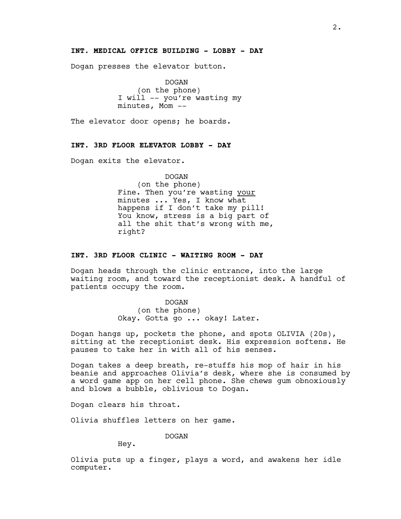# **INT. MEDICAL OFFICE BUILDING - LOBBY - DAY**

Dogan presses the elevator button.

DOGAN (on the phone) I will -- you're wasting my minutes, Mom --

The elevator door opens; he boards.

### **INT. 3RD FLOOR ELEVATOR LOBBY - DAY**

Dogan exits the elevator.

DOGAN (on the phone) Fine. Then you're wasting your minutes ... Yes, I know what happens if I don't take my pill! You know, stress is a big part of all the shit that's wrong with me, right?

#### **INT. 3RD FLOOR CLINIC - WAITING ROOM - DAY**

Dogan heads through the clinic entrance, into the large waiting room, and toward the receptionist desk. A handful of patients occupy the room.

> DOGAN (on the phone) Okay. Gotta go ... okay! Later.

Dogan hangs up, pockets the phone, and spots OLIVIA (20s), sitting at the receptionist desk. His expression softens. He pauses to take her in with all of his senses.

Dogan takes a deep breath, re-stuffs his mop of hair in his beanie and approaches Olivia's desk, where she is consumed by a word game app on her cell phone. She chews gum obnoxiously and blows a bubble, oblivious to Dogan.

Dogan clears his throat.

Olivia shuffles letters on her game.

DOGAN

Hey.

Olivia puts up a finger, plays a word, and awakens her idle computer.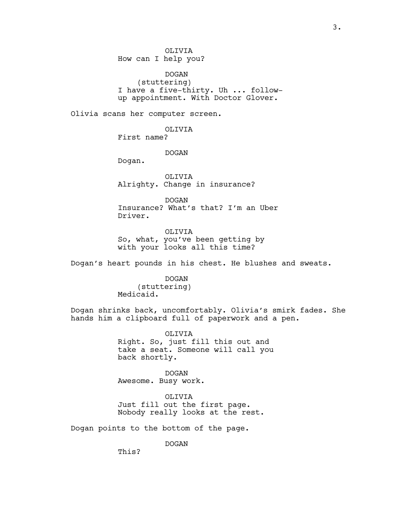OLIVIA How can I help you?

DOGAN (stuttering) I have a five-thirty. Uh ... followup appointment. With Doctor Glover.

Olivia scans her computer screen.

OLIVIA First name?

DOGAN

Dogan.

OLIVIA Alrighty. Change in insurance?

DOGAN Insurance? What's that? I'm an Uber Driver.

OLIVIA So, what, you've been getting by with your looks all this time?

Dogan's heart pounds in his chest. He blushes and sweats.

DOGAN (stuttering) Medicaid.

Dogan shrinks back, uncomfortably. Olivia's smirk fades. She hands him a clipboard full of paperwork and a pen.

> OLIVIA Right. So, just fill this out and take a seat. Someone will call you back shortly.

DOGAN Awesome. Busy work.

OLIVIA Just fill out the first page. Nobody really looks at the rest.

Dogan points to the bottom of the page.

DOGAN

This?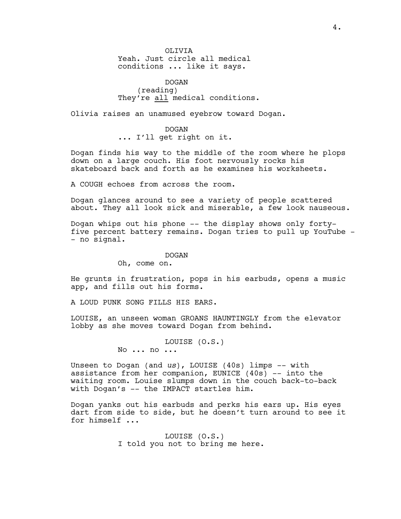OLIVIA Yeah. Just circle all medical conditions ... like it says.

DOGAN (reading) They're all medical conditions.

Olivia raises an unamused eyebrow toward Dogan.

DOGAN ... I'll get right on it.

Dogan finds his way to the middle of the room where he plops down on a large couch. His foot nervously rocks his skateboard back and forth as he examines his worksheets.

A COUGH echoes from across the room.

Dogan glances around to see a variety of people scattered about. They all look sick and miserable, a few look nauseous.

Dogan whips out his phone -- the display shows only fortyfive percent battery remains. Dogan tries to pull up YouTube - - no signal.

#### DOGAN

Oh, come on.

He grunts in frustration, pops in his earbuds, opens a music app, and fills out his forms.

A LOUD PUNK SONG FILLS HIS EARS.

LOUISE, an unseen woman GROANS HAUNTINGLY from the elevator lobby as she moves toward Dogan from behind.

LOUISE (O.S.)

No ... no ...

Unseen to Dogan (and *us*), LOUISE (40s) limps -- with assistance from her companion, EUNICE (40s) -- into the waiting room. Louise slumps down in the couch back-to-back with Dogan's -- the IMPACT startles him.

Dogan yanks out his earbuds and perks his ears up. His eyes dart from side to side, but he doesn't turn around to see it for himself ...

> LOUISE (O.S.) I told you not to bring me here.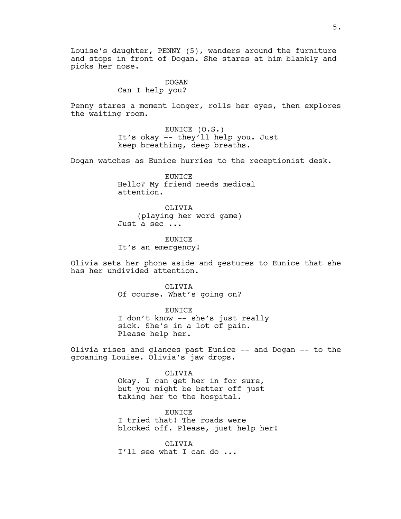Louise's daughter, PENNY (5), wanders around the furniture and stops in front of Dogan. She stares at him blankly and picks her nose.

# DOGAN Can I help you?

Penny stares a moment longer, rolls her eyes, then explores the waiting room.

> EUNICE (O.S.) It's okay -- they'll help you. Just keep breathing, deep breaths.

Dogan watches as Eunice hurries to the receptionist desk.

EUNICE Hello? My friend needs medical attention.

OLIVIA (playing her word game) Just a sec ...

**EUNICE** It's an emergency!

Olivia sets her phone aside and gestures to Eunice that she has her undivided attention.

> OLIVIA Of course. What's going on?

EUNICE I don't know -- she's just really sick. She's in a lot of pain. Please help her.

Olivia rises and glances past Eunice -- and Dogan -- to the groaning Louise. Olivia's jaw drops.

> OLIVIA Okay. I can get her in for sure, but you might be better off just taking her to the hospital.

**EUNICE** I tried that! The roads were blocked off. Please, just help her!

OLIVIA I'll see what I can do ...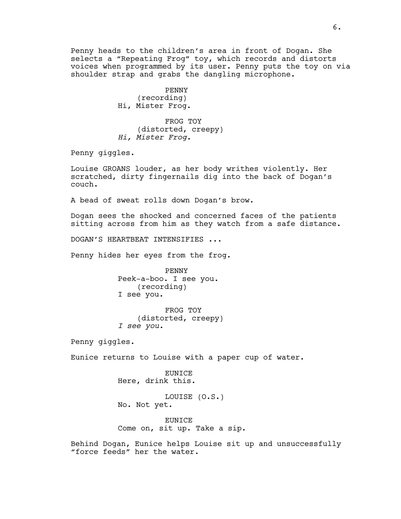Penny heads to the children's area in front of Dogan. She selects a "Repeating Frog" toy, which records and distorts voices when programmed by its user. Penny puts the toy on via shoulder strap and grabs the dangling microphone.

> PENNY (recording) Hi, Mister Frog.

FROG TOY (distorted, creepy) *Hi, Mister Frog.*

Penny giggles.

Louise GROANS louder, as her body writhes violently. Her scratched, dirty fingernails dig into the back of Dogan's couch.

A bead of sweat rolls down Dogan's brow.

Dogan sees the shocked and concerned faces of the patients sitting across from him as they watch from a safe distance.

DOGAN'S HEARTBEAT INTENSIFIES ...

Penny hides her eyes from the frog.

PENNY Peek-a-boo. I see you. (recording) I see you.

FROG TOY (distorted, creepy) *I see you.*

Penny giggles.

Eunice returns to Louise with a paper cup of water.

EUNICE Here, drink this.

LOUISE (O.S.) No. Not yet.

EUNICE Come on, sit up. Take a sip.

Behind Dogan, Eunice helps Louise sit up and unsuccessfully "force feeds" her the water.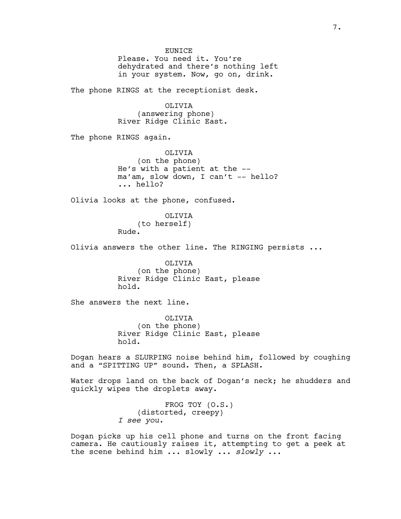**EUNICE** Please. You need it. You're dehydrated and there's nothing left in your system. Now, go on, drink.

The phone RINGS at the receptionist desk.

OLIVIA (answering phone) River Ridge Clinic East.

The phone RINGS again.

OLIVIA (on the phone) He's with a patient at the - ma'am, slow down, I can't -- hello? ... hello?

Olivia looks at the phone, confused.

OLIVIA (to herself) Rude.

Olivia answers the other line. The RINGING persists ...

OLIVIA (on the phone) River Ridge Clinic East, please hold.

She answers the next line.

OLIVIA (on the phone) River Ridge Clinic East, please hold.

Dogan hears a SLURPING noise behind him, followed by coughing and a "SPITTING UP" sound. Then, a SPLASH.

Water drops land on the back of Dogan's neck; he shudders and quickly wipes the droplets away.

> FROG TOY (O.S.) (distorted, creepy) *I see you.*

Dogan picks up his cell phone and turns on the front facing camera. He cautiously raises it, attempting to get a peek at the scene behind him ... slowly ... *slowly* ...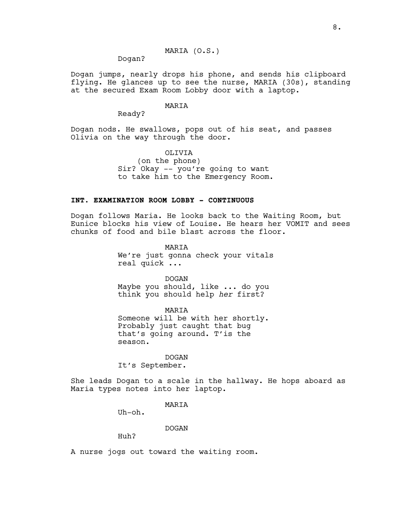MARIA (O.S.)

Dogan?

Dogan jumps, nearly drops his phone, and sends his clipboard flying. He glances up to see the nurse, MARIA (30s), standing at the secured Exam Room Lobby door with a laptop.

# MARIA

Ready?

Dogan nods. He swallows, pops out of his seat, and passes Olivia on the way through the door.

# OLIVIA

(on the phone) Sir? Okay -- you're going to want to take him to the Emergency Room.

# **INT. EXAMINATION ROOM LOBBY - CONTINUOUS**

Dogan follows Maria. He looks back to the Waiting Room, but Eunice blocks his view of Louise. He hears her VOMIT and sees chunks of food and bile blast across the floor.

> MARIA We're just gonna check your vitals real quick ...

DOGAN Maybe you should, like ... do you think you should help *her* first?

MARIA Someone will be with her shortly. Probably just caught that bug that's going around. T'is the season.

# DOGAN

It's September.

She leads Dogan to a scale in the hallway. He hops aboard as Maria types notes into her laptop.

# MARIA

Uh-oh.

#### DOGAN

Huh?

A nurse jogs out toward the waiting room.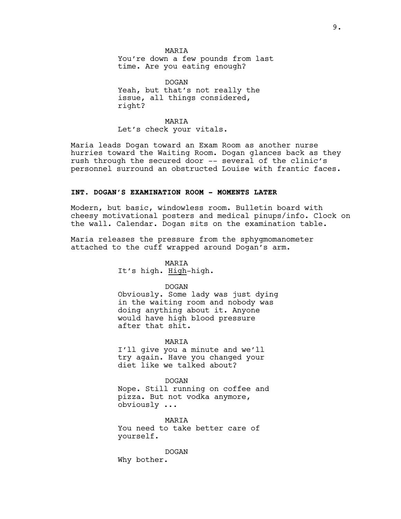**MARTA** You're down a few pounds from last time. Are you eating enough?

DOGAN Yeah, but that's not really the issue, all things considered, right?

MARIA Let's check your vitals.

Maria leads Dogan toward an Exam Room as another nurse hurries toward the Waiting Room. Dogan glances back as they rush through the secured door -- several of the clinic's personnel surround an obstructed Louise with frantic faces.

#### **INT. DOGAN'S EXAMINATION ROOM - MOMENTS LATER**

Modern, but basic, windowless room. Bulletin board with cheesy motivational posters and medical pinups/info. Clock on the wall. Calendar. Dogan sits on the examination table.

Maria releases the pressure from the sphygmomanometer attached to the cuff wrapped around Dogan's arm.

MARIA

It's high. High-high.

#### DOGAN

Obviously. Some lady was just dying in the waiting room and nobody was doing anything about it. Anyone would have high blood pressure after that shit.

MARIA

I'll give you a minute and we'll try again. Have you changed your diet like we talked about?

DOGAN Nope. Still running on coffee and pizza. But not vodka anymore,

obviously ...

MARIA

You need to take better care of yourself.

DOGAN Why bother.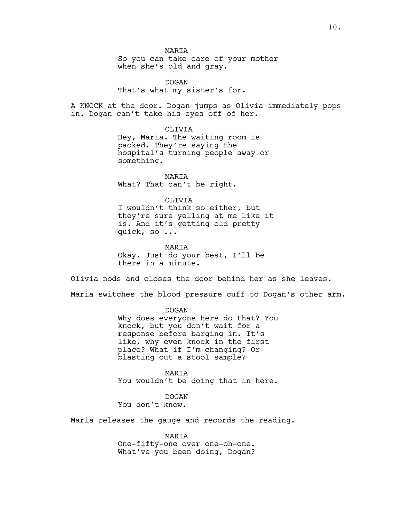MARIA

So you can take care of your mother when she's old and gray.

DOGAN That's what my sister's for.

A KNOCK at the door. Dogan jumps as Olivia immediately pops in. Dogan can't take his eyes off of her.

OLIVIA

Hey, Maria. The waiting room is packed. They're saying the hospital's turning people away or something.

MARIA What? That can't be right.

OLIVIA

I wouldn't think so either, but they're sure yelling at me like it is. And it's getting old pretty quick, so ...

MARIA Okay. Just do your best, I'll be there in a minute.

Olivia nods and closes the door behind her as she leaves.

Maria switches the blood pressure cuff to Dogan's other arm.

DOGAN

Why does everyone here do that? You knock, but you don't wait for a response before barging in. It's like, why even knock in the first place? What if I'm changing? Or blasting out a stool sample?

MARIA You wouldn't be doing that in here.

DOGAN You don't know.

Maria releases the gauge and records the reading.

MARIA One-fifty-one over one-oh-one. What've you been doing, Dogan?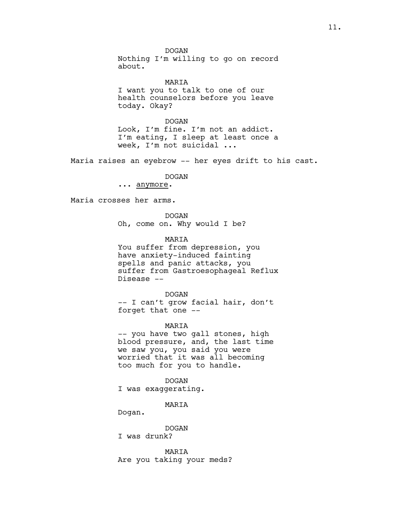DOGAN Nothing I'm willing to go on record about.

MARIA I want you to talk to one of our health counselors before you leave today. Okay?

DOGAN Look, I'm fine. I'm not an addict. I'm eating, I sleep at least once a week, I'm not suicidal ...

Maria raises an eyebrow -- her eyes drift to his cast.

DOGAN

... anymore.

Disease --

Maria crosses her arms.

DOGAN Oh, come on. Why would I be?

**MARTA** You suffer from depression, you have anxiety-induced fainting spells and panic attacks, you suffer from Gastroesophageal Reflux

DOGAN -- I can't grow facial hair, don't

forget that one -- MARIA

-- you have two gall stones, high blood pressure, and, the last time we saw you, you said you were worried that it was all becoming too much for you to handle.

DOGAN I was exaggerating.

MARIA

Dogan.

DOGAN

I was drunk?

MARIA Are you taking your meds?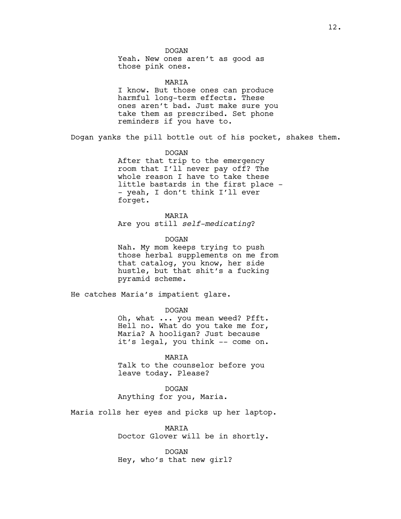DOGAN

Yeah. New ones aren't as good as those pink ones.

MARIA

I know. But those ones can produce harmful long-term effects. These ones aren't bad. Just make sure you take them as prescribed. Set phone reminders if you have to.

Dogan yanks the pill bottle out of his pocket, shakes them.

DOGAN

After that trip to the emergency room that I'll never pay off? The whole reason I have to take these little bastards in the first place - - yeah, I don't think I'll ever forget.

MARIA Are you still *self-medicating*?

DOGAN

Nah. My mom keeps trying to push those herbal supplements on me from that catalog, you know, her side hustle, but that shit's a fucking pyramid scheme.

He catches Maria's impatient glare.

DOGAN

Oh, what ... you mean weed? Pfft. Hell no. What do you take me for, Maria? A hooligan? Just because it's legal, you think -- come on.

MARIA

Talk to the counselor before you leave today. Please?

DOGAN Anything for you, Maria.

Maria rolls her eyes and picks up her laptop.

MARIA Doctor Glover will be in shortly.

DOGAN Hey, who's that new girl?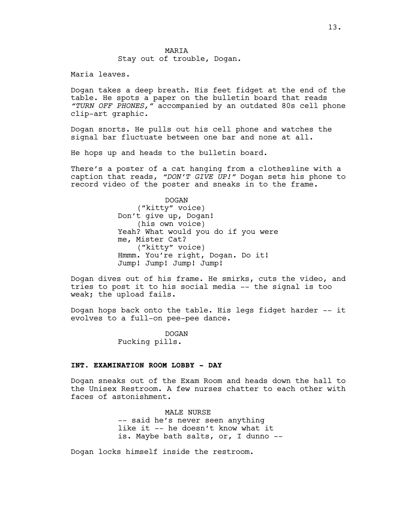### **MARTA** Stay out of trouble, Dogan.

Maria leaves.

Dogan takes a deep breath. His feet fidget at the end of the table. He spots a paper on the bulletin board that reads *"TURN OFF PHONES,"* accompanied by an outdated 80s cell phone clip-art graphic.

Dogan snorts. He pulls out his cell phone and watches the signal bar fluctuate between one bar and none at all.

He hops up and heads to the bulletin board.

There's a poster of a cat hanging from a clothesline with a caption that reads, *"DON'T GIVE UP!"* Dogan sets his phone to record video of the poster and sneaks in to the frame.

> DOGAN ("kitty" voice) Don't give up, Dogan! (his own voice) Yeah? What would you do if you were me, Mister Cat? ("kitty" voice) Hmmm. You're right, Dogan. Do it! Jump! Jump! Jump! Jump!

Dogan dives out of his frame. He smirks, cuts the video, and tries to post it to his social media -- the signal is too weak; the upload fails.

Dogan hops back onto the table. His legs fidget harder -- it evolves to a full-on pee-pee dance.

> DOGAN Fucking pills.

#### **INT. EXAMINATION ROOM LOBBY - DAY**

Dogan sneaks out of the Exam Room and heads down the hall to the Unisex Restroom. A few nurses chatter to each other with faces of astonishment.

> MALE NURSE -- said he's never seen anything like it -- he doesn't know what it is. Maybe bath salts, or, I dunno --

Dogan locks himself inside the restroom.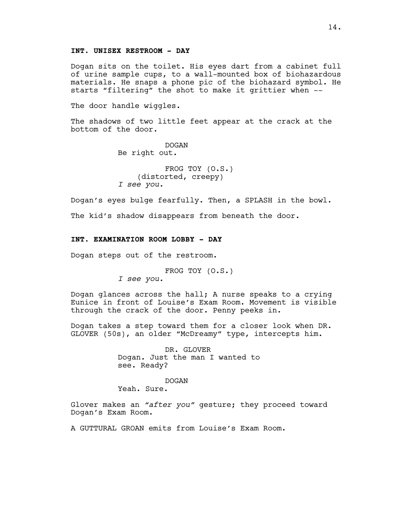# **INT. UNISEX RESTROOM - DAY**

Dogan sits on the toilet. His eyes dart from a cabinet full of urine sample cups, to a wall-mounted box of biohazardous materials. He snaps a phone pic of the biohazard symbol. He starts "filtering" the shot to make it grittier when --

The door handle wiggles.

The shadows of two little feet appear at the crack at the bottom of the door.

> DOGAN Be right out.

FROG TOY (O.S.) (distorted, creepy) *I see you.*

Dogan's eyes bulge fearfully. Then, a SPLASH in the bowl.

The kid's shadow disappears from beneath the door.

# **INT. EXAMINATION ROOM LOBBY - DAY**

Dogan steps out of the restroom.

FROG TOY (O.S.)

*I see you.*

Dogan glances across the hall; A nurse speaks to a crying Eunice in front of Louise's Exam Room. Movement is visible through the crack of the door. Penny peeks in.

Dogan takes a step toward them for a closer look when DR. GLOVER (50s), an older "McDreamy" type, intercepts him.

> DR. GLOVER Dogan. Just the man I wanted to see. Ready?

> > DOGAN

Yeah. Sure.

Glover makes an *"after you"* gesture; they proceed toward Dogan's Exam Room.

A GUTTURAL GROAN emits from Louise's Exam Room.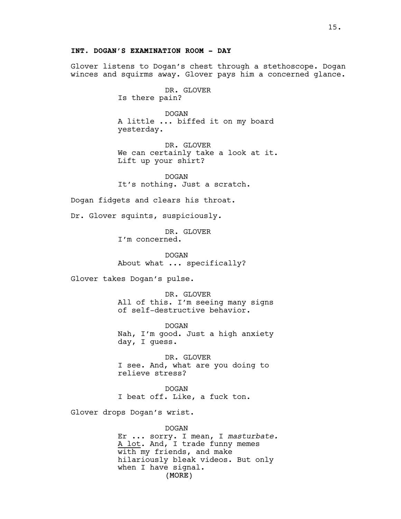Glover listens to Dogan's chest through a stethoscope. Dogan winces and squirms away. Glover pays him a concerned glance.

> DR. GLOVER Is there pain?

DOGAN A little ... biffed it on my board yesterday.

DR. GLOVER We can certainly take a look at it. Lift up your shirt?

DOGAN It's nothing. Just a scratch.

Dogan fidgets and clears his throat.

Dr. Glover squints, suspiciously*.*

DR. GLOVER I'm concerned.

DOGAN About what ... specifically?

Glover takes Dogan's pulse.

DR. GLOVER All of this. I'm seeing many signs of self-destructive behavior.

DOGAN Nah, I'm good. Just a high anxiety day, I guess.

DR. GLOVER I see. And, what are you doing to relieve stress?

DOGAN I beat off. Like, a fuck ton.

Glover drops Dogan's wrist.

(MORE) DOGAN Er ... sorry. I mean, I *masturbate.* A lot. And, I trade funny memes with my friends, and make hilariously bleak videos. But only when I have signal.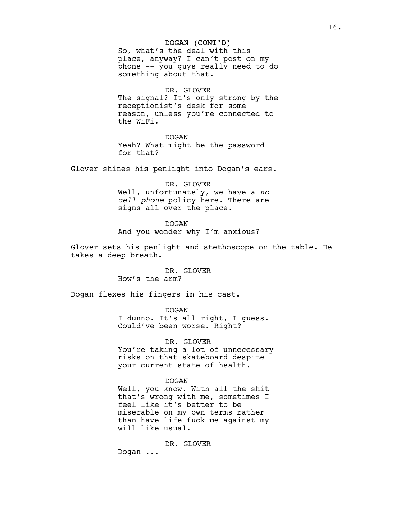#### DOGAN (CONT'D)

So, what's the deal with this place, anyway? I can't post on my phone -- you guys really need to do something about that.

# DR. GLOVER

The signal? It's only strong by the receptionist's desk for some reason, unless you're connected to the WiFi.

#### DOGAN

Yeah? What might be the password for that?

Glover shines his penlight into Dogan's ears.

#### DR. GLOVER

Well, unfortunately, we have a *no cell phone* policy here. There are signs all over the place.

### DOGAN

And you wonder why I'm anxious?

Glover sets his penlight and stethoscope on the table. He takes a deep breath.

## DR. GLOVER How's the arm?

Dogan flexes his fingers in his cast.

#### DOGAN

I dunno. It's all right, I guess. Could've been worse. Right?

# DR. GLOVER

You're taking a lot of unnecessary risks on that skateboard despite your current state of health.

# DOGAN

Well, you know. With all the shit that's wrong with me, sometimes I feel like it's better to be miserable on my own terms rather than have life fuck me against my will like usual.

DR. GLOVER

Dogan ...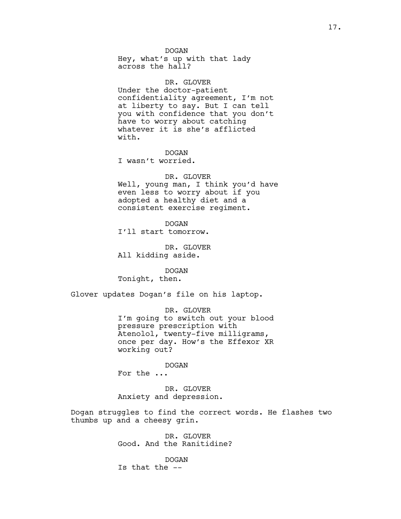DOGAN Hey, what's up with that lady across the hall?

DR. GLOVER Under the doctor-patient confidentiality agreement, I'm not at liberty to say. But I can tell you with confidence that you don't have to worry about catching whatever it is she's afflicted with.

DOGAN

I wasn't worried.

# DR. GLOVER

Well, young man, I think you'd have even less to worry about if you adopted a healthy diet and a consistent exercise regiment.

DOGAN

I'll start tomorrow.

DR. GLOVER All kidding aside.

DOGAN Tonight, then.

Glover updates Dogan's file on his laptop.

DR. GLOVER I'm going to switch out your blood pressure prescription with Atenolol, twenty-five milligrams, once per day. How's the Effexor XR working out?

DOGAN For the ...

DR. GLOVER Anxiety and depression.

Dogan struggles to find the correct words. He flashes two thumbs up and a cheesy grin.

> DR. GLOVER Good. And the Ranitidine?

DOGAN Is that the --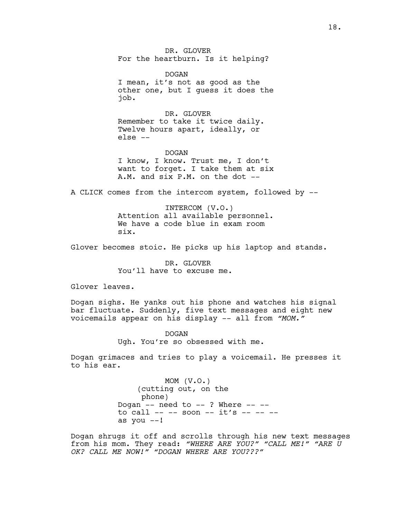DR. GLOVER For the heartburn. Is it helping?

DOGAN I mean, it's not as good as the other one, but I guess it does the job.

DR. GLOVER Remember to take it twice daily. Twelve hours apart, ideally, or else --

DOGAN I know, I know. Trust me, I don't want to forget. I take them at six A.M. and six P.M. on the dot --

A CLICK comes from the intercom system, followed by --

INTERCOM (V.O.) Attention all available personnel. We have a code blue in exam room six.

Glover becomes stoic. He picks up his laptop and stands.

DR. GLOVER You'll have to excuse me.

Glover leaves.

Dogan sighs. He yanks out his phone and watches his signal bar fluctuate. Suddenly, five text messages and eight new voicemails appear on his display -- all from *"MOM."*

> DOGAN Ugh. You're so obsessed with me.

Dogan grimaces and tries to play a voicemail. He presses it to his ear.

> MOM (V.O.) (cutting out, on the phone) Dogan  $--$  need to  $--$  ? Where  $-$ to call -- -- soon --  $it's$  -- -- -as you  $--!$

Dogan shrugs it off and scrolls through his new text messages from his mom. They read: *"WHERE ARE YOU?" "CALL ME!" "ARE U OK? CALL ME NOW!" "DOGAN WHERE ARE YOU???"*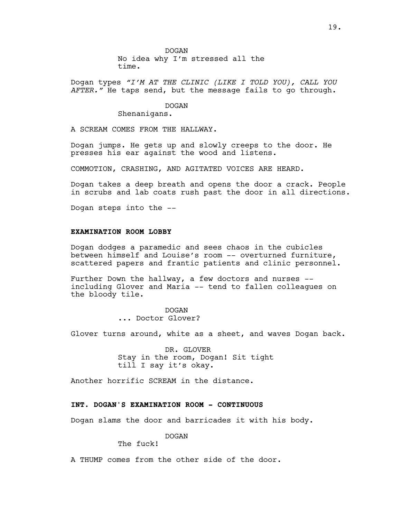No idea why I'm stressed all the time.

Dogan types *"I'M AT THE CLINIC (LIKE I TOLD YOU), CALL YOU AFTER."* He taps send, but the message fails to go through.

#### DOGAN

Shenanigans.

A SCREAM COMES FROM THE HALLWAY.

Dogan jumps. He gets up and slowly creeps to the door. He presses his ear against the wood and listens.

COMMOTION, CRASHING, AND AGITATED VOICES ARE HEARD.

Dogan takes a deep breath and opens the door a crack. People in scrubs and lab coats rush past the door in all directions.

Dogan steps into the --

# **EXAMINATION ROOM LOBBY**

Dogan dodges a paramedic and sees chaos in the cubicles between himself and Louise's room -- overturned furniture, scattered papers and frantic patients and clinic personnel.

Further Down the hallway, a few doctors and nurses - including Glover and Maria -- tend to fallen colleagues on the bloody tile.

> DOGAN ... Doctor Glover?

Glover turns around, white as a sheet, and waves Dogan back.

DR. GLOVER Stay in the room, Dogan! Sit tight till I say it's okay.

Another horrific SCREAM in the distance.

# **INT. DOGAN'S EXAMINATION ROOM - CONTINUOUS**

Dogan slams the door and barricades it with his body.

# DOGAN

The fuck!

A THUMP comes from the other side of the door.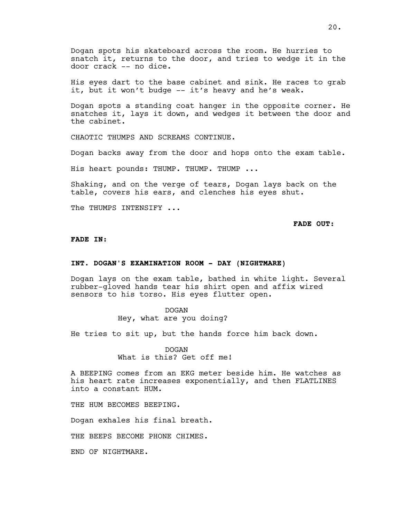Dogan spots his skateboard across the room. He hurries to snatch it, returns to the door, and tries to wedge it in the door crack -- no dice.

His eyes dart to the base cabinet and sink. He races to grab it, but it won't budge -- it's heavy and he's weak.

Dogan spots a standing coat hanger in the opposite corner. He snatches it, lays it down, and wedges it between the door and the cabinet.

CHAOTIC THUMPS AND SCREAMS CONTINUE.

Dogan backs away from the door and hops onto the exam table.

His heart pounds: THUMP. THUMP. THUMP ...

Shaking, and on the verge of tears, Dogan lays back on the table, covers his ears, and clenches his eyes shut.

The THUMPS INTENSIFY ...

**FADE OUT:**

#### **FADE IN:**

### **INT. DOGAN'S EXAMINATION ROOM - DAY (NIGHTMARE)**

Dogan lays on the exam table, bathed in white light. Several rubber-gloved hands tear his shirt open and affix wired sensors to his torso. His eyes flutter open.

# DOGAN

Hey, what are you doing?

He tries to sit up, but the hands force him back down.

DOGAN What is this? Get off me!

A BEEPING comes from an EKG meter beside him. He watches as his heart rate increases exponentially, and then FLATLINES into a constant HUM.

THE HUM BECOMES BEEPING.

Dogan exhales his final breath.

THE BEEPS BECOME PHONE CHIMES.

END OF NIGHTMARE.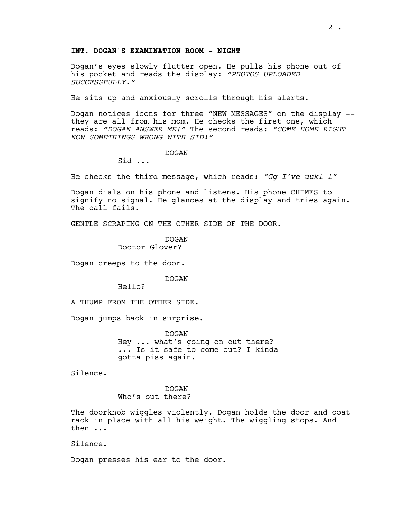# **INT. DOGAN'S EXAMINATION ROOM - NIGHT**

Dogan's eyes slowly flutter open. He pulls his phone out of his pocket and reads the display: *"PHOTOS UPLOADED SUCCESSFULLY."*

He sits up and anxiously scrolls through his alerts.

Dogan notices icons for three "NEW MESSAGES" on the display - they are all from his mom. He checks the first one, which reads: *"DOGAN ANSWER ME!"* The second reads: *"COME HOME RIGHT NOW SOMETHINGS WRONG WITH SID!"*

### DOGAN

Sid ...

He checks the third message, which reads: *"Gg I've uukl l"*

Dogan dials on his phone and listens. His phone CHIMES to signify no signal. He glances at the display and tries again. The call fails.

GENTLE SCRAPING ON THE OTHER SIDE OF THE DOOR.

DOGAN Doctor Glover?

Dogan creeps to the door.

DOGAN

Hello?

A THUMP FROM THE OTHER SIDE.

Dogan jumps back in surprise.

DOGAN Hey ... what's going on out there? ... Is it safe to come out? I kinda gotta piss again.

Silence.

DOGAN Who's out there?

The doorknob wiggles violently. Dogan holds the door and coat rack in place with all his weight. The wiggling stops. And then ...

Silence.

Dogan presses his ear to the door.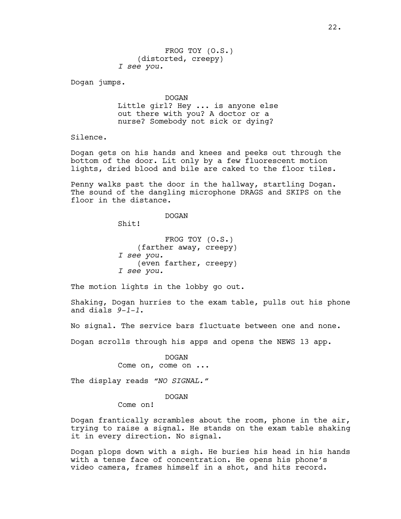FROG TOY (O.S.) (distorted, creepy) *I see you.*

Dogan jumps.

DOGAN Little girl? Hey ... is anyone else out there with you? A doctor or a nurse? Somebody not sick or dying?

Silence.

Dogan gets on his hands and knees and peeks out through the bottom of the door. Lit only by a few fluorescent motion lights, dried blood and bile are caked to the floor tiles.

Penny walks past the door in the hallway, startling Dogan. The sound of the dangling microphone DRAGS and SKIPS on the floor in the distance.

DOGAN

Shit!

FROG TOY (O.S.) (farther away, creepy) *I see you.* (even farther, creepy) *I see you.*

The motion lights in the lobby go out.

Shaking, Dogan hurries to the exam table, pulls out his phone and dials *9-1-1*.

No signal. The service bars fluctuate between one and none.

Dogan scrolls through his apps and opens the NEWS 13 app.

DOGAN Come on, come on ...

The display reads *"NO SIGNAL."*

#### DOGAN

Come on!

Dogan frantically scrambles about the room, phone in the air, trying to raise a signal. He stands on the exam table shaking it in every direction. No signal.

Dogan plops down with a sigh. He buries his head in his hands with a tense face of concentration. He opens his phone's video camera, frames himself in a shot, and hits record.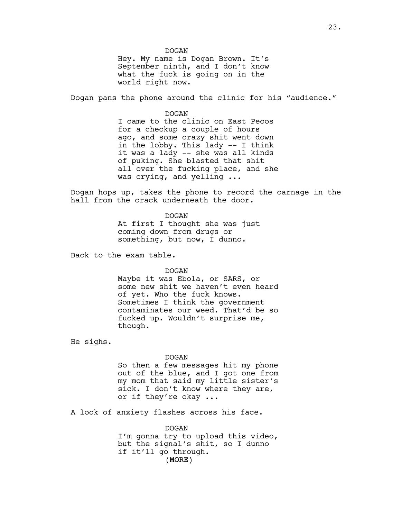DOGAN Hey. My name is Dogan Brown. It's September ninth, and I don't know what the fuck is going on in the world right now.

Dogan pans the phone around the clinic for his "audience."

DOGAN

I came to the clinic on East Pecos for a checkup a couple of hours ago, and some crazy shit went down in the lobby. This lady -- I think it was a lady -- she was all kinds of puking. She blasted that shit all over the fucking place, and she was crying, and yelling ...

Dogan hops up, takes the phone to record the carnage in the hall from the crack underneath the door.

DOGAN

At first I thought she was just coming down from drugs or something, but now, I dunno.

Back to the exam table.

DOGAN

Maybe it was Ebola, or SARS, or some new shit we haven't even heard of yet. Who the fuck knows. Sometimes I think the government contaminates our weed. That'd be so fucked up. Wouldn't surprise me, though.

He sighs.

#### DOGAN

So then a few messages hit my phone out of the blue, and I got one from my mom that said my little sister's sick. I don't know where they are, or if they're okay ...

A look of anxiety flashes across his face.

(MORE) DOGAN I'm gonna try to upload this video, but the signal's shit, so I dunno if it'll go through.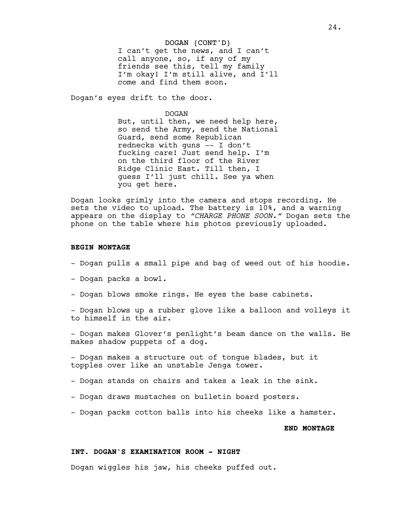#### DOGAN (CONT'D)

I can't get the news, and I can't call anyone, so, if any of my friends see this, tell my family I'm okay! I'm still alive, and I'll come and find them soon.

Dogan's eyes drift to the door.

#### DOGAN

But, until then, we need help here, so send the Army, send the National Guard, send some Republican rednecks with guns -- I don't fucking care! Just send help. I'm on the third floor of the River Ridge Clinic East. Till then, I guess I'll just chill. See ya when you get here.

Dogan looks grimly into the camera and stops recording. He sets the video to upload. The battery is 10%, and a warning appears on the display to *"CHARGE PHONE SOON."* Dogan sets the phone on the table where his photos previously uploaded.

#### **BEGIN MONTAGE**

- Dogan pulls a small pipe and bag of weed out of his hoodie.
- Dogan packs a bowl.
- Dogan blows smoke rings. He eyes the base cabinets.

- Dogan blows up a rubber glove like a balloon and volleys it to himself in the air.

- Dogan makes Glover's penlight's beam dance on the walls. He makes shadow puppets of a dog.

- Dogan makes a structure out of tongue blades, but it topples over like an unstable Jenga tower.

- Dogan stands on chairs and takes a leak in the sink.
- Dogan draws mustaches on bulletin board posters.
- Dogan packs cotton balls into his cheeks like a hamster.

#### **END MONTAGE**

### **INT. DOGAN'S EXAMINATION ROOM - NIGHT**

Dogan wiggles his jaw, his cheeks puffed out.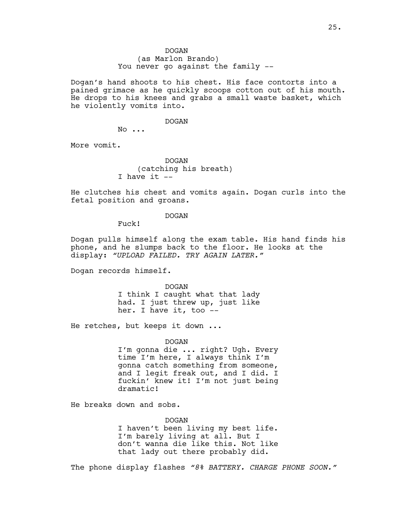(as Marlon Brando) You never go against the family --

Dogan's hand shoots to his chest. His face contorts into a pained grimace as he quickly scoops cotton out of his mouth. He drops to his knees and grabs a small waste basket, which he violently vomits into.

#### DOGAN

No ...

More vomit.

DOGAN (catching his breath) I have it  $-$ 

He clutches his chest and vomits again. Dogan curls into the fetal position and groans.

#### DOGAN

Fuck!

Dogan pulls himself along the exam table. His hand finds his phone, and he slumps back to the floor. He looks at the display: *"UPLOAD FAILED. TRY AGAIN LATER."*

Dogan records himself.

DOGAN I think I caught what that lady had. I just threw up, just like her. I have it, too --

He retches, but keeps it down ...

#### DOGAN

I'm gonna die ... right? Ugh. Every time I'm here, I always think I'm gonna catch something from someone, and I legit freak out, and I did. I fuckin' knew it! I'm not just being dramatic!

He breaks down and sobs.

DOGAN I haven't been living my best life. I'm barely living at all. But I don't wanna die like this. Not like that lady out there probably did.

The phone display flashes *"8% BATTERY. CHARGE PHONE SOON."*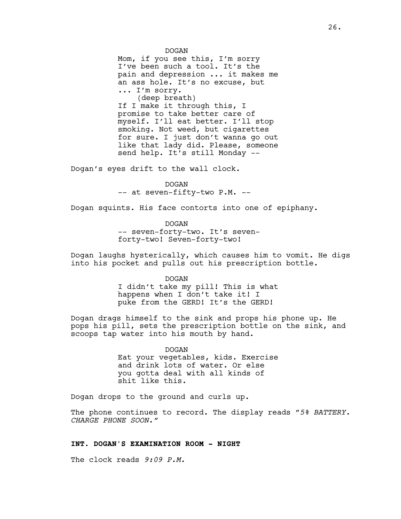DOGAN Mom, if you see this, I'm sorry I've been such a tool. It's the pain and depression ... it makes me an ass hole. It's no excuse, but ... I'm sorry. (deep breath) If I make it through this, I promise to take better care of myself. I'll eat better. I'll stop smoking. Not weed, but cigarettes for sure. I just don't wanna go out like that lady did. Please, someone send help. It's still Monday --

Dogan's eyes drift to the wall clock.

DOGAN -- at seven-fifty-two P.M. --

Dogan squints. His face contorts into one of epiphany.

DOGAN -- seven-forty-two. It's sevenforty-two! Seven-forty-two!

Dogan laughs hysterically, which causes him to vomit. He digs into his pocket and pulls out his prescription bottle.

DOGAN

I didn't take my pill! This is what happens when I don't take it! I puke from the GERD! It's the GERD!

Dogan drags himself to the sink and props his phone up. He pops his pill, sets the prescription bottle on the sink, and scoops tap water into his mouth by hand.

> DOGAN Eat your vegetables, kids. Exercise and drink lots of water. Or else you gotta deal with all kinds of shit like this.

Dogan drops to the ground and curls up.

The phone continues to record. The display reads "*5% BATTERY. CHARGE PHONE SOON."*

# **INT. DOGAN'S EXAMINATION ROOM - NIGHT**

The clock reads *9:09 P.M.*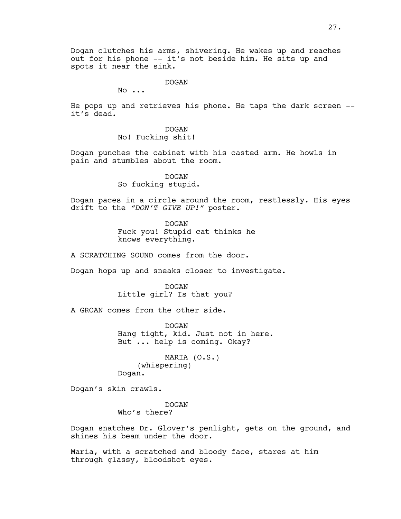Dogan clutches his arms, shivering. He wakes up and reaches out for his phone -- it's not beside him. He sits up and spots it near the sink.

DOGAN

No ...

He pops up and retrieves his phone. He taps the dark screen - it's dead.

> DOGAN No! Fucking shit!

Dogan punches the cabinet with his casted arm. He howls in pain and stumbles about the room.

> DOGAN So fucking stupid.

Dogan paces in a circle around the room, restlessly. His eyes drift to the *"DON'T GIVE UP!"* poster.

> DOGAN Fuck you! Stupid cat thinks he knows everything.

A SCRATCHING SOUND comes from the door.

Dogan hops up and sneaks closer to investigate.

DOGAN Little girl? Is that you?

A GROAN comes from the other side.

DOGAN Hang tight, kid. Just not in here. But ... help is coming. Okay?

MARIA (O.S.) (whispering) Dogan.

Dogan's skin crawls.

DOGAN Who's there?

Dogan snatches Dr. Glover's penlight, gets on the ground, and shines his beam under the door.

Maria, with a scratched and bloody face, stares at him through glassy, bloodshot eyes.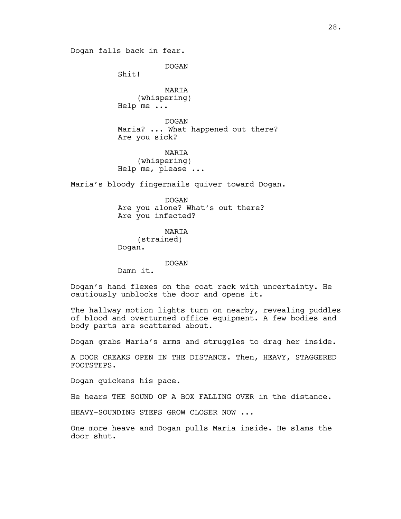Dogan falls back in fear.

DOGAN

Shit!

MARIA (whispering) Help me ...

DOGAN Maria? ... What happened out there? Are you sick?

MARIA (whispering) Help me, please ...

Maria's bloody fingernails quiver toward Dogan.

DOGAN Are you alone? What's out there? Are you infected?

MARIA (strained) Dogan.

DOGAN

Damn it.

Dogan's hand flexes on the coat rack with uncertainty. He cautiously unblocks the door and opens it.

The hallway motion lights turn on nearby, revealing puddles of blood and overturned office equipment. A few bodies and body parts are scattered about.

Dogan grabs Maria's arms and struggles to drag her inside.

A DOOR CREAKS OPEN IN THE DISTANCE. Then, HEAVY, STAGGERED FOOTSTEPS.

Dogan quickens his pace.

He hears THE SOUND OF A BOX FALLING OVER in the distance.

HEAVY-SOUNDING STEPS GROW CLOSER NOW ...

One more heave and Dogan pulls Maria inside. He slams the door shut.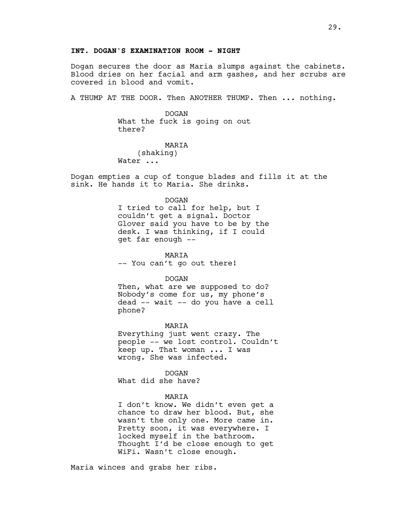# **INT. DOGAN'S EXAMINATION ROOM - NIGHT**

Dogan secures the door as Maria slumps against the cabinets. Blood dries on her facial and arm gashes, and her scrubs are covered in blood and vomit.

A THUMP AT THE DOOR. Then ANOTHER THUMP. Then ... nothing.

DOGAN What the fuck is going on out there?

MARIA (shaking) Water ...

Dogan empties a cup of tongue blades and fills it at the sink. He hands it to Maria. She drinks.

#### DOGAN

I tried to call for help, but I couldn't get a signal. Doctor Glover said you have to be by the desk. I was thinking, if I could get far enough --

MARIA -- You can't go out there!

DOGAN

Then, what are we supposed to do? Nobody's come for us, my phone's dead -- wait -- do you have a cell phone?

MARIA Everything just went crazy. The people -- we lost control. Couldn't keep up. That woman ... I was

DOGAN

wrong. She was infected.

What did she have?

## MARIA

I don't know. We didn't even get a chance to draw her blood. But, she wasn't the only one. More came in. Pretty soon, it was everywhere. I locked myself in the bathroom. Thought I'd be close enough to get WiFi. Wasn't close enough.

Maria winces and grabs her ribs.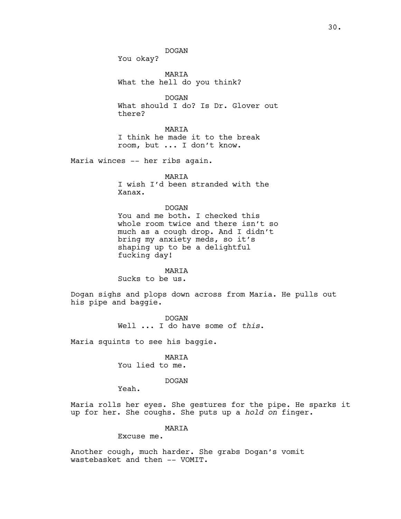You okay?

MARIA What the hell do you think?

DOGAN What should I do? Is Dr. Glover out there?

MARIA I think he made it to the break room, but ... I don't know.

Maria winces -- her ribs again.

# MARIA

I wish I'd been stranded with the Xanax.

# DOGAN

You and me both. I checked this whole room twice and there isn't so much as a cough drop. And I didn't bring my anxiety meds, so it's shaping up to be a delightful fucking day!

#### MARIA

Sucks to be us.

Dogan sighs and plops down across from Maria. He pulls out his pipe and baggie.

> DOGAN Well ... I do have some of *this*.

Maria squints to see his baggie.

MARIA You lied to me.

# DOGAN

Yeah.

Maria rolls her eyes. She gestures for the pipe. He sparks it up for her. She coughs. She puts up a *hold on* finger.

# MARIA

Excuse me.

Another cough, much harder. She grabs Dogan's vomit wastebasket and then -- VOMIT.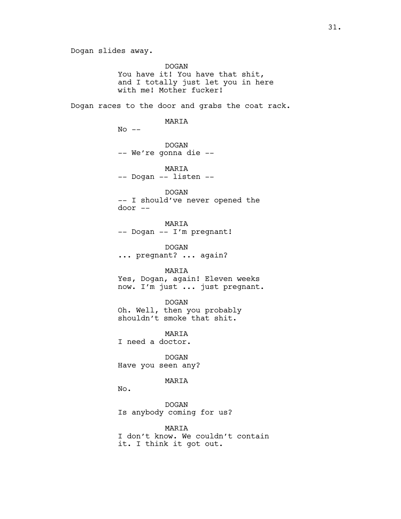DOGAN You have it! You have that shit, and I totally just let you in here with me! Mother fucker!

Dogan races to the door and grabs the coat rack.

#### MARIA

 $No$   $--$ 

DOGAN -- We're gonna die --

MARIA -- Dogan -- listen --

DOGAN -- I should've never opened the door --

MARIA -- Dogan -- I'm pregnant!

DOGAN ... pregnant? ... again?

MARIA Yes, Dogan, again! Eleven weeks now. I'm just ... just pregnant.

DOGAN Oh. Well, then you probably shouldn't smoke that shit.

MARIA I need a doctor.

DOGAN Have you seen any?

# MARIA

No.

DOGAN Is anybody coming for us?

MARIA I don't know. We couldn't contain it. I think it got out.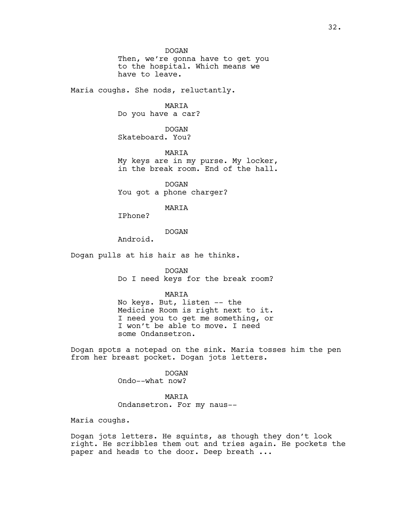DOGAN

Then, we're gonna have to get you to the hospital. Which means we have to leave.

Maria coughs. She nods, reluctantly.

MARIA

Do you have a car?

DOGAN Skateboard. You?

MARIA My keys are in my purse. My locker, in the break room. End of the hall.

DOGAN You got a phone charger?

MARIA

IPhone?

DOGAN

Android.

Dogan pulls at his hair as he thinks.

DOGAN Do I need keys for the break room?

MARIA

No keys. But, listen -- the Medicine Room is right next to it. I need you to get me something, or I won't be able to move. I need some Ondansetron.

Dogan spots a notepad on the sink. Maria tosses him the pen from her breast pocket. Dogan jots letters.

> DOGAN Ondo--what now?

#### MARIA

Ondansetron. For my naus--

Maria coughs.

Dogan jots letters. He squints, as though they don't look right. He scribbles them out and tries again. He pockets the paper and heads to the door. Deep breath ...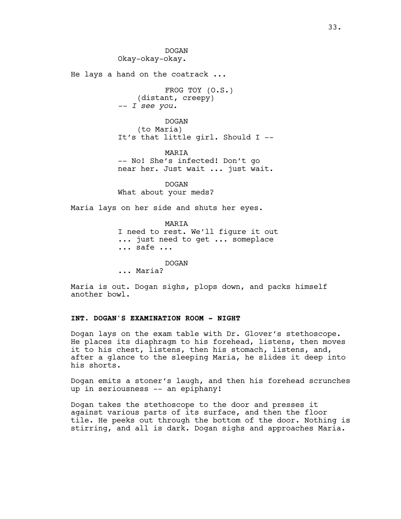DOGAN Okay-okay-okay. He lays a hand on the coatrack ... FROG TOY (O.S.) (distant, creepy) *-- I see you.* DOGAN (to Maria) It's that little girl. Should I -- MARIA -- No! She's infected! Don't go near her. Just wait ... just wait. DOGAN What about your meds? Maria lays on her side and shuts her eyes. MARIA

I need to rest. We'll figure it out ... just need to get ... someplace ... safe ...

DOGAN

... Maria?

Maria is out. Dogan sighs, plops down, and packs himself another bowl.

# **INT. DOGAN'S EXAMINATION ROOM - NIGHT**

Dogan lays on the exam table with Dr. Glover's stethoscope. He places its diaphragm to his forehead, listens, then moves it to his chest, listens, then his stomach, listens, and, after a glance to the sleeping Maria, he slides it deep into his shorts.

Dogan emits a stoner's laugh, and then his forehead scrunches up in seriousness -- an epiphany!

Dogan takes the stethoscope to the door and presses it against various parts of its surface, and then the floor tile. He peeks out through the bottom of the door. Nothing is stirring, and all is dark. Dogan sighs and approaches Maria.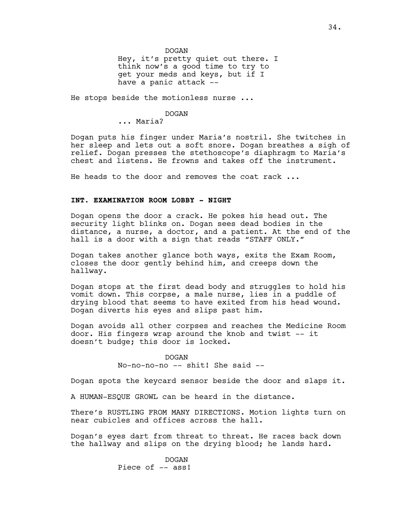DOGAN

Hey, it's pretty quiet out there. I think now's a good time to try to get your meds and keys, but if I have a panic attack --

He stops beside the motionless nurse ...

#### DOGAN

... Maria?

Dogan puts his finger under Maria's nostril. She twitches in her sleep and lets out a soft snore. Dogan breathes a sigh of relief. Dogan presses the stethoscope's diaphragm to Maria's chest and listens. He frowns and takes off the instrument.

He heads to the door and removes the coat rack ...

# **INT. EXAMINATION ROOM LOBBY - NIGHT**

Dogan opens the door a crack. He pokes his head out. The security light blinks on. Dogan sees dead bodies in the distance, a nurse, a doctor, and a patient. At the end of the hall is a door with a sign that reads "STAFF ONLY."

Dogan takes another glance both ways, exits the Exam Room, closes the door gently behind him, and creeps down the hallway.

Dogan stops at the first dead body and struggles to hold his vomit down. This corpse, a male nurse, lies in a puddle of drying blood that seems to have exited from his head wound. Dogan diverts his eyes and slips past him.

Dogan avoids all other corpses and reaches the Medicine Room door. His fingers wrap around the knob and twist -- it doesn't budge; this door is locked.

> DOGAN No-no-no-no -- shit! She said --

Dogan spots the keycard sensor beside the door and slaps it.

A HUMAN-ESQUE GROWL can be heard in the distance.

There's RUSTLING FROM MANY DIRECTIONS. Motion lights turn on near cubicles and offices across the hall.

Dogan's eyes dart from threat to threat. He races back down the hallway and slips on the drying blood; he lands hard.

> DOGAN Piece of -- ass!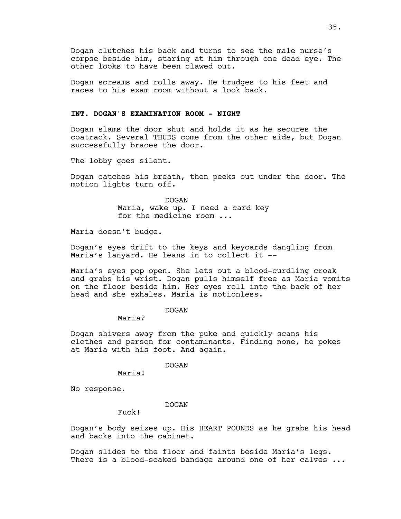Dogan clutches his back and turns to see the male nurse's corpse beside him, staring at him through one dead eye. The other looks to have been clawed out.

Dogan screams and rolls away. He trudges to his feet and races to his exam room without a look back.

# **INT. DOGAN'S EXAMINATION ROOM - NIGHT**

Dogan slams the door shut and holds it as he secures the coatrack. Several THUDS come from the other side, but Dogan successfully braces the door.

The lobby goes silent.

Dogan catches his breath, then peeks out under the door. The motion lights turn off.

> DOGAN Maria, wake up. I need a card key for the medicine room ...

Maria doesn't budge.

Dogan's eyes drift to the keys and keycards dangling from Maria's lanyard. He leans in to collect it --

Maria's eyes pop open. She lets out a blood-curdling croak and grabs his wrist. Dogan pulls himself free as Maria vomits on the floor beside him. Her eyes roll into the back of her head and she exhales. Maria is motionless.

DOGAN

Maria?

Dogan shivers away from the puke and quickly scans his clothes and person for contaminants. Finding none, he pokes at Maria with his foot. And again.

DOGAN

Maria!

No response.

DOGAN

Fuck!

Dogan's body seizes up. His HEART POUNDS as he grabs his head and backs into the cabinet.

Dogan slides to the floor and faints beside Maria's legs. There is a blood-soaked bandage around one of her calves ...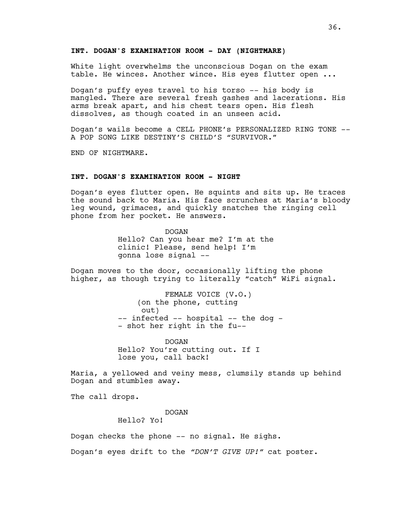### **INT. DOGAN'S EXAMINATION ROOM - DAY (NIGHTMARE)**

White light overwhelms the unconscious Dogan on the exam table. He winces. Another wince. His eyes flutter open ...

Dogan's puffy eyes travel to his torso -- his body is mangled. There are several fresh gashes and lacerations. His arms break apart, and his chest tears open. His flesh dissolves, as though coated in an unseen acid.

Dogan's wails become a CELL PHONE's PERSONALIZED RING TONE -- A POP SONG LIKE DESTINY'S CHILD'S "SURVIVOR."

END OF NIGHTMARE.

# **INT. DOGAN'S EXAMINATION ROOM - NIGHT**

Dogan's eyes flutter open. He squints and sits up. He traces the sound back to Maria. His face scrunches at Maria's bloody leg wound, grimaces, and quickly snatches the ringing cell phone from her pocket. He answers.

> DOGAN Hello? Can you hear me? I'm at the clinic! Please, send help! I'm gonna lose signal --

Dogan moves to the door, occasionally lifting the phone higher, as though trying to literally "catch" WiFi signal.

> FEMALE VOICE (V.O.) (on the phone, cutting out) -- infected -- hospital -- the dog -- shot her right in the fu--

DOGAN Hello? You're cutting out. If I lose you, call back!

Maria, a yellowed and veiny mess, clumsily stands up behind Dogan and stumbles away.

The call drops.

DOGAN

Hello? Yo!

Dogan checks the phone -- no signal. He sighs.

Dogan's eyes drift to the *"DON'T GIVE UP!"* cat poster.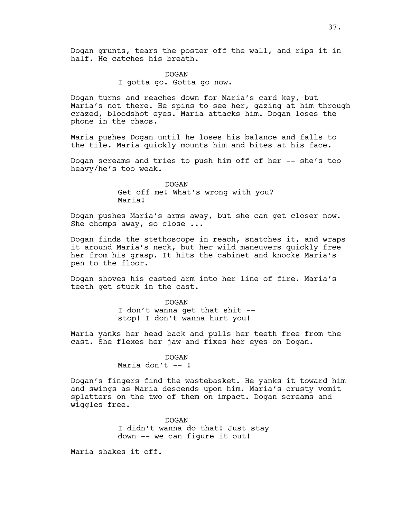DOGAN I gotta go. Gotta go now.

Dogan turns and reaches down for Maria's card key, but Maria's not there. He spins to see her, gazing at him through crazed, bloodshot eyes. Maria attacks him. Dogan loses the phone in the chaos.

Maria pushes Dogan until he loses his balance and falls to the tile. Maria quickly mounts him and bites at his face.

Dogan screams and tries to push him off of her -- she's too heavy/he's too weak.

> DOGAN Get off me! What's wrong with you? Maria!

Dogan pushes Maria's arms away, but she can get closer now. She chomps away, so close ...

Dogan finds the stethoscope in reach, snatches it, and wraps it around Maria's neck, but her wild maneuvers quickly free her from his grasp. It hits the cabinet and knocks Maria's pen to the floor.

Dogan shoves his casted arm into her line of fire. Maria's teeth get stuck in the cast.

DOGAN

I don't wanna get that shit - stop! I don't wanna hurt you!

Maria yanks her head back and pulls her teeth free from the cast. She flexes her jaw and fixes her eyes on Dogan.

### DOGAN

Maria don't  $--$ !

Dogan's fingers find the wastebasket. He yanks it toward him and swings as Maria descends upon him. Maria's crusty vomit splatters on the two of them on impact. Dogan screams and wiggles free.

> DOGAN I didn't wanna do that! Just stay down -- we can figure it out!

Maria shakes it off.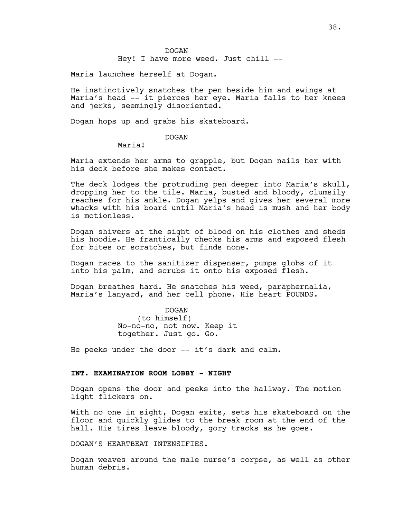### DOGAN

Hey! I have more weed. Just chill --

Maria launches herself at Dogan.

He instinctively snatches the pen beside him and swings at Maria's head -- it pierces her eye. Maria falls to her knees and jerks, seemingly disoriented.

Dogan hops up and grabs his skateboard.

## DOGAN

Maria!

Maria extends her arms to grapple, but Dogan nails her with his deck before she makes contact.

The deck lodges the protruding pen deeper into Maria's skull, dropping her to the tile. Maria, busted and bloody, clumsily reaches for his ankle. Dogan yelps and gives her several more whacks with his board until Maria's head is mush and her body is motionless.

Dogan shivers at the sight of blood on his clothes and sheds his hoodie. He frantically checks his arms and exposed flesh for bites or scratches, but finds none.

Dogan races to the sanitizer dispenser, pumps globs of it into his palm, and scrubs it onto his exposed flesh.

Dogan breathes hard. He snatches his weed, paraphernalia, Maria's lanyard, and her cell phone. His heart POUNDS.

> DOGAN (to himself) No-no-no, not now. Keep it together. Just go. Go.

He peeks under the door -- it's dark and calm.

# **INT. EXAMINATION ROOM LOBBY - NIGHT**

Dogan opens the door and peeks into the hallway. The motion light flickers on.

With no one in sight, Dogan exits, sets his skateboard on the floor and quickly glides to the break room at the end of the hall. His tires leave bloody, gory tracks as he goes.

DOGAN'S HEARTBEAT INTENSIFIES.

Dogan weaves around the male nurse's corpse, as well as other human debris.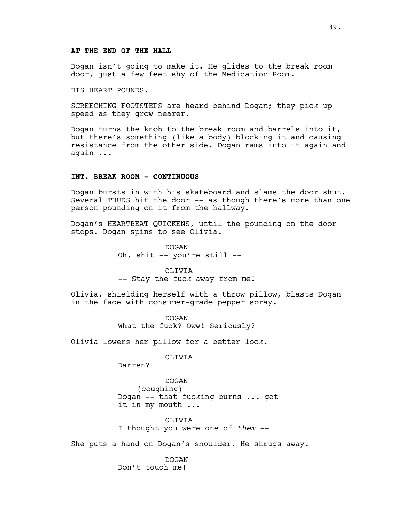## **AT THE END OF THE HALL**

Dogan isn't going to make it. He glides to the break room door, just a few feet shy of the Medication Room.

HIS HEART POUNDS.

SCREECHING FOOTSTEPS are heard behind Dogan; they pick up speed as they grow nearer.

Dogan turns the knob to the break room and barrels into it, but there's something (like a body) blocking it and causing resistance from the other side. Dogan rams into it again and again ...

# **INT. BREAK ROOM - CONTINUOUS**

Dogan bursts in with his skateboard and slams the door shut. Several THUDS hit the door -- as though there's more than one person pounding on it from the hallway.

Dogan's HEARTBEAT QUICKENS, until the pounding on the door stops. Dogan spins to see Olivia.

> DOGAN Oh, shit -- you're still --

OLIVIA -- Stay the fuck away from me!

Olivia, shielding herself with a throw pillow, blasts Dogan in the face with consumer-grade pepper spray.

> DOGAN What the fuck? Oww! Seriously?

Olivia lowers her pillow for a better look.

OLIVIA

Darren?

DOGAN (coughing) Dogan -- that fucking burns ... got it in my mouth ...

OLIVIA I thought you were one of *them* --

She puts a hand on Dogan's shoulder. He shrugs away.

DOGAN Don't touch me!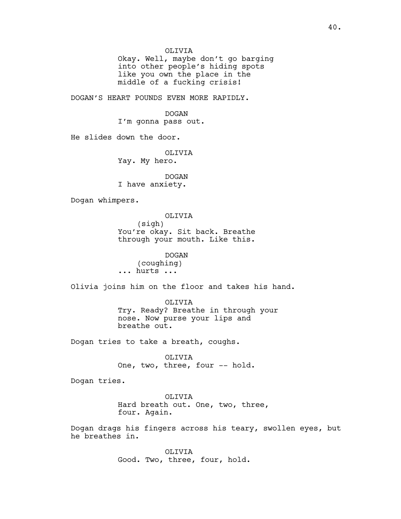Okay. Well, maybe don't go barging into other people's hiding spots like you own the place in the middle of a fucking crisis!

DOGAN'S HEART POUNDS EVEN MORE RAPIDLY.

DOGAN I'm gonna pass out.

He slides down the door.

OLIVIA

Yay. My hero.

DOGAN I have anxiety.

Dogan whimpers.

OLIVIA (sigh) You're okay. Sit back. Breathe through your mouth. Like this.

DOGAN (coughing) ... hurts ...

Olivia joins him on the floor and takes his hand.

OLIVIA Try. Ready? Breathe in through your nose. Now purse your lips and breathe out.

Dogan tries to take a breath, coughs.

OLIVIA One, two, three, four -- hold.

Dogan tries.

OLIVIA Hard breath out. One, two, three, four. Again.

Dogan drags his fingers across his teary, swollen eyes, but he breathes in.

> OLIVIA Good. Two, three, four, hold.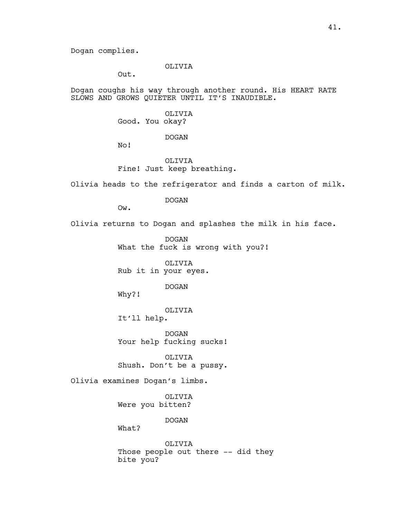Dogan complies.

# OLIVIA

Out.

Dogan coughs his way through another round. His HEART RATE SLOWS AND GROWS QUIETER UNTIL IT'S INAUDIBLE.

> OLIVIA Good. You okay?

> > DOGAN

No!

OLIVIA Fine! Just keep breathing.

Olivia heads to the refrigerator and finds a carton of milk.

DOGAN

Ow.

Olivia returns to Dogan and splashes the milk in his face.

DOGAN What the fuck is wrong with you?!

OLIVIA Rub it in your eyes.

# DOGAN

Why?!

OLIVIA

It'll help.

DOGAN Your help fucking sucks!

OLIVIA Shush. Don't be a pussy.

Olivia examines Dogan's limbs.

OLIVIA Were you bitten?

DOGAN

What?

OLIVIA Those people out there -- did they bite you?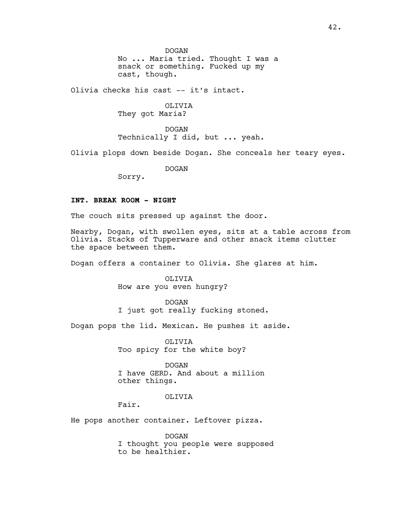DOGAN

No ... Maria tried. Thought I was a snack or something. Fucked up my cast, though.

Olivia checks his cast -- it's intact.

OLIVIA They got Maria?

DOGAN Technically I did, but ... yeah.

Olivia plops down beside Dogan. She conceals her teary eyes.

DOGAN

Sorry.

# **INT. BREAK ROOM - NIGHT**

The couch sits pressed up against the door.

Nearby, Dogan, with swollen eyes, sits at a table across from Olivia. Stacks of Tupperware and other snack items clutter the space between them.

Dogan offers a container to Olivia. She glares at him.

OLIVIA How are you even hungry?

DOGAN I just got really fucking stoned.

Dogan pops the lid. Mexican. He pushes it aside.

OLIVIA Too spicy for the white boy?

DOGAN I have GERD. And about a million other things.

#### OLIVIA

Fair.

He pops another container. Leftover pizza.

DOGAN I thought you people were supposed to be healthier.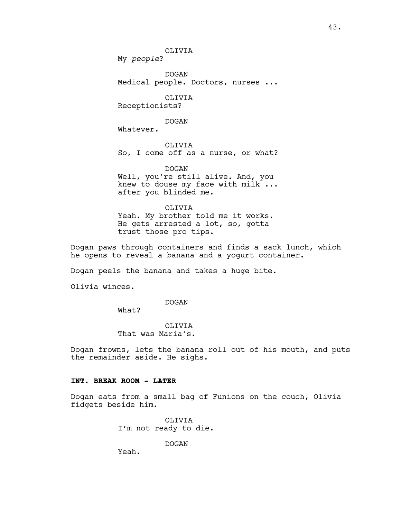My *people*?

DOGAN Medical people. Doctors, nurses ...

OLIVIA Receptionists?

DOGAN

Whatever.

OLIVIA So, I come off as a nurse, or what?

DOGAN Well, you're still alive. And, you knew to douse my face with milk ... after you blinded me.

OLIVIA Yeah. My brother told me it works. He gets arrested a lot, so, gotta trust those pro tips.

Dogan paws through containers and finds a sack lunch, which he opens to reveal a banana and a yogurt container.

Dogan peels the banana and takes a huge bite.

Olivia winces.

DOGAN

What?

OLIVIA That was Maria's.

Dogan frowns, lets the banana roll out of his mouth, and puts the remainder aside. He sighs.

### **INT. BREAK ROOM - LATER**

Dogan eats from a small bag of Funions on the couch, Olivia fidgets beside him.

> OLIVIA I'm not ready to die.

> > DOGAN

Yeah.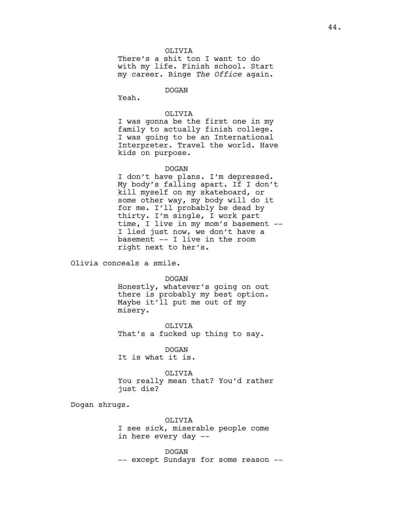There's a shit ton I want to do with my life. Finish school. Start my career. Binge *The Office* again.

DOGAN

Yeah.

## OLIVIA

I was gonna be the first one in my family to actually finish college. I was going to be an International Interpreter. Travel the world. Have kids on purpose.

### DOGAN

I don't have plans. I'm depressed. My body's falling apart. If I don't kill myself on my skateboard, or some other way, my body will do it for me. I'll probably be dead by thirty. I'm single, I work part time, I live in my mom's basement -- I lied just now, we don't have a basement -- I live in the room right next to her's.

Olivia conceals a smile.

DOGAN

Honestly, whatever's going on out there is probably my best option. Maybe it'll put me out of my misery.

OLIVIA That's a fucked up thing to say.

DOGAN It is what it is.

#### OLIVIA

You really mean that? You'd rather just die?

Dogan shrugs.

OLIVIA I see sick, miserable people come in here every day --

DOGAN -- except Sundays for some reason --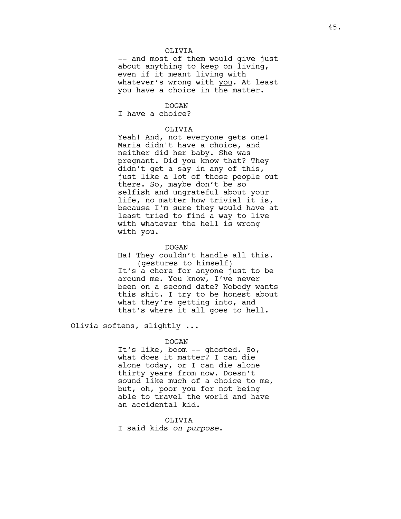-- and most of them would give just about anything to keep on living, even if it meant living with whatever's wrong with you. At least you have a choice in the matter.

## DOGAN

I have a choice?

#### OLIVIA

Yeah! And, not everyone gets one! Maria didn't have a choice, and neither did her baby. She was pregnant. Did you know that? They didn't get a say in any of this, just like a lot of those people out there. So, maybe don't be so selfish and ungrateful about your life, no matter how trivial it is, because I'm sure they would have at least tried to find a way to live with whatever the hell is wrong with you.

#### DOGAN

Ha! They couldn't handle all this. (gestures to himself) It's a chore for anyone just to be around me. You know, I've never been on a second date? Nobody wants this shit. I try to be honest about what they're getting into, and that's where it all goes to hell.

Olivia softens, slightly ...

### DOGAN

It's like, boom -- ghosted. So, what does it matter? I can die alone today, or I can die alone thirty years from now. Doesn't sound like much of a choice to me, but, oh, poor you for not being able to travel the world and have an accidental kid.

OLIVIA I said kids *on purpose*.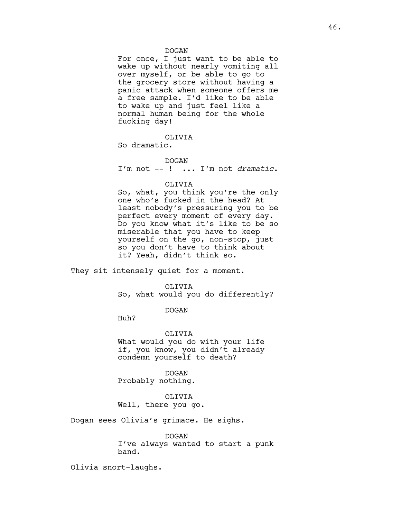#### DOGAN

For once, I just want to be able to wake up without nearly vomiting all over myself, or be able to go to the grocery store without having a panic attack when someone offers me a free sample. I'd like to be able to wake up and just feel like a normal human being for the whole fucking day!

OLIVIA

So dramatic.

DOGAN I'm not -- ! ... I'm not *dramatic*.

# OLIVIA

So, what, you think you're the only one who's fucked in the head? At least nobody's pressuring you to be perfect every moment of every day. Do you know what it's like to be so miserable that you have to keep yourself on the go, non-stop, just so you don't have to think about it? Yeah, didn't think so.

They sit intensely quiet for a moment.

#### OLIVIA

So, what would you do differently?

## DOGAN

Huh?

## OLIVIA

What would you do with your life if, you know, you didn't already condemn yourself to death?

DOGAN Probably nothing.

# OLIVIA Well, there you go.

Dogan sees Olivia's grimace. He sighs.

DOGAN I've always wanted to start a punk band.

Olivia snort-laughs.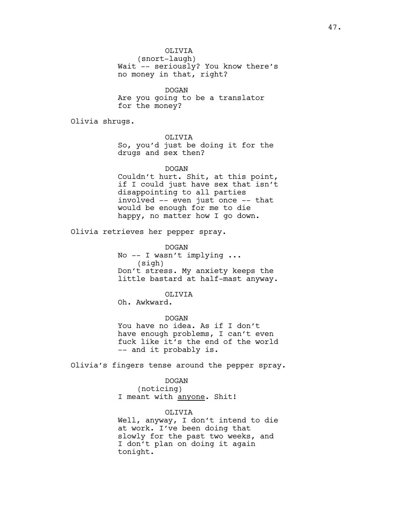(snort-laugh) Wait -- seriously? You know there's no money in that, right?

DOGAN Are you going to be a translator for the money?

Olivia shrugs.

## OLIVIA

So, you'd just be doing it for the drugs and sex then?

DOGAN

Couldn't hurt. Shit, at this point, if I could just have sex that isn't disappointing to all parties involved -- even just once -- that would be enough for me to die happy, no matter how I go down.

Olivia retrieves her pepper spray.

DOGAN No -- I wasn't implying ... (sigh) Don't stress. My anxiety keeps the little bastard at half-mast anyway.

## OLIVIA

Oh. Awkward.

DOGAN You have no idea. As if I don't have enough problems, I can't even fuck like it's the end of the world -- and it probably is.

Olivia's fingers tense around the pepper spray.

### DOGAN

(noticing) I meant with anyone. Shit!

#### OLIVIA

Well, anyway, I don't intend to die at work. I've been doing that slowly for the past two weeks, and I don't plan on doing it again tonight.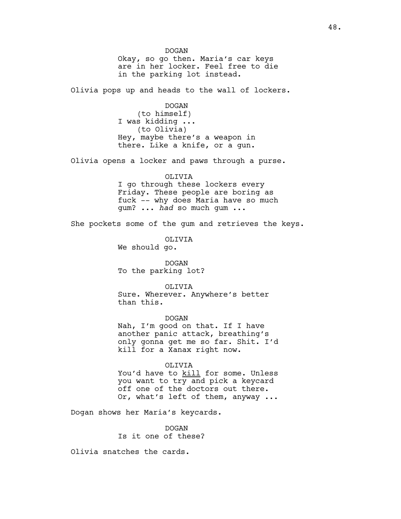DOGAN Okay, so go then. Maria's car keys are in her locker. Feel free to die in the parking lot instead. Olivia pops up and heads to the wall of lockers. DOGAN (to himself) I was kidding ... (to Olivia) Hey, maybe there's a weapon in there. Like a knife, or a gun. Olivia opens a locker and paws through a purse. OLIVIA I go through these lockers every Friday. These people are boring as fuck -- why does Maria have so much gum? ... *had* so much gum ... She pockets some of the gum and retrieves the keys. OLIVIA We should go. DOGAN To the parking lot? OLIVIA Sure. Wherever. Anywhere's better than this. DOGAN Nah, I'm good on that. If I have another panic attack, breathing's only gonna get me so far. Shit. I'd kill for a Xanax right now. OLIVIA You'd have to kill for some. Unless you want to try and pick a keycard off one of the doctors out there. Or, what's left of them, anyway ...

Dogan shows her Maria's keycards.

DOGAN Is it one of these?

Olivia snatches the cards.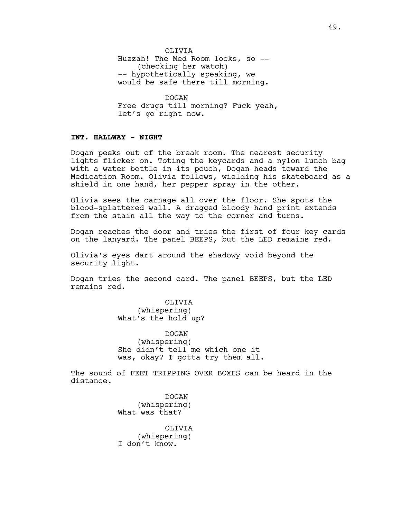OLIVIA Huzzah! The Med Room locks, so -- (checking her watch) -- hypothetically speaking, we would be safe there till morning.

DOGAN Free drugs till morning? Fuck yeah, let's go right now.

# **INT. HALLWAY - NIGHT**

Dogan peeks out of the break room. The nearest security lights flicker on. Toting the keycards and a nylon lunch bag with a water bottle in its pouch, Dogan heads toward the Medication Room. Olivia follows, wielding his skateboard as a shield in one hand, her pepper spray in the other.

Olivia sees the carnage all over the floor. She spots the blood-splattered wall. A dragged bloody hand print extends from the stain all the way to the corner and turns.

Dogan reaches the door and tries the first of four key cards on the lanyard. The panel BEEPS, but the LED remains red.

Olivia's eyes dart around the shadowy void beyond the security light.

Dogan tries the second card. The panel BEEPS, but the LED remains red.

> OLIVIA (whispering) What's the hold up?

DOGAN (whispering) She didn't tell me which one it was, okay? I gotta try them all.

The sound of FEET TRIPPING OVER BOXES can be heard in the distance.

> DOGAN (whispering) What was that?

OLIVIA (whispering) I don't know.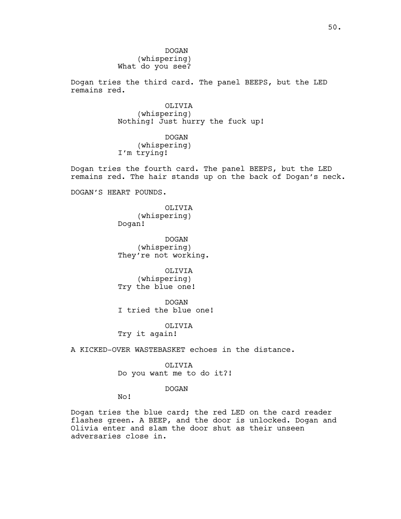DOGAN (whispering) What do you see?

Dogan tries the third card. The panel BEEPS, but the LED remains red.

> OLIVIA (whispering) Nothing! Just hurry the fuck up!

DOGAN (whispering) I'm trying!

Dogan tries the fourth card. The panel BEEPS, but the LED remains red. The hair stands up on the back of Dogan's neck.

DOGAN'S HEART POUNDS.

OLIVIA (whispering) Dogan!

DOGAN (whispering) They're not working.

OLIVIA (whispering) Try the blue one!

DOGAN I tried the blue one!

OLIVIA Try it again!

A KICKED-OVER WASTEBASKET echoes in the distance.

OLIVIA

Do you want me to do it?!

DOGAN

No!

Dogan tries the blue card; the red LED on the card reader flashes green. A BEEP, and the door is unlocked. Dogan and Olivia enter and slam the door shut as their unseen adversaries close in.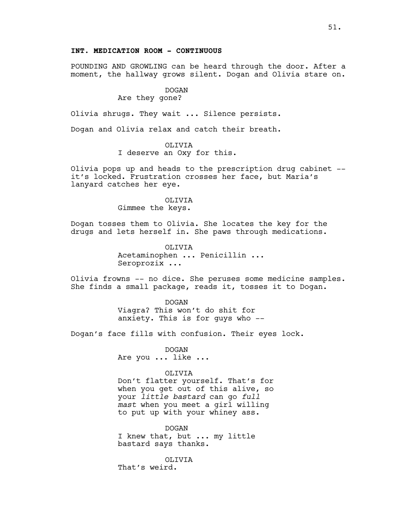# **INT. MEDICATION ROOM - CONTINUOUS**

POUNDING AND GROWLING can be heard through the door. After a moment, the hallway grows silent. Dogan and Olivia stare on.

# DOGAN

# Are they gone?

Olivia shrugs. They wait ... Silence persists.

Dogan and Olivia relax and catch their breath.

### OLIVIA

I deserve an Oxy for this.

Olivia pops up and heads to the prescription drug cabinet - it's locked. Frustration crosses her face, but Maria's lanyard catches her eye.

## OLIVIA Gimmee the keys.

Dogan tosses them to Olivia. She locates the key for the drugs and lets herself in. She paws through medications.

> OLIVIA Acetaminophen ... Penicillin ... Seroprozix ...

Olivia frowns -- no dice. She peruses some medicine samples. She finds a small package, reads it, tosses it to Dogan.

> DOGAN Viagra? This won't do shit for anxiety. This is for guys who --

Dogan's face fills with confusion. Their eyes lock.

DOGAN Are you ... like ...

#### OLIVIA

Don't flatter yourself. That's for when you get out of this alive, so your *little bastard* can go *full mast* when you meet a girl willing to put up with your whiney ass.

DOGAN I knew that, but ... my little bastard says thanks.

OLIVIA That's weird.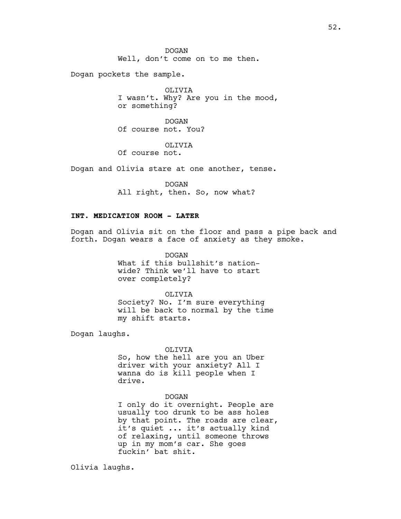Dogan pockets the sample.

OLIVIA I wasn't. Why? Are you in the mood, or something?

DOGAN Of course not. You?

OLIVIA Of course not.

Dogan and Olivia stare at one another, tense.

DOGAN All right, then. So, now what?

# **INT. MEDICATION ROOM - LATER**

Dogan and Olivia sit on the floor and pass a pipe back and forth. Dogan wears a face of anxiety as they smoke.

> DOGAN What if this bullshit's nationwide? Think we'll have to start over completely?

OLIVIA Society? No. I'm sure everything will be back to normal by the time my shift starts.

Dogan laughs.

#### OLIVIA

So, how the hell are you an Uber driver with your anxiety? All I wanna do is kill people when I drive.

#### DOGAN

I only do it overnight. People are usually too drunk to be ass holes by that point. The roads are clear, it's quiet ... it's actually kind of relaxing, until someone throws up in my mom's car. She goes fuckin' bat shit.

Olivia laughs.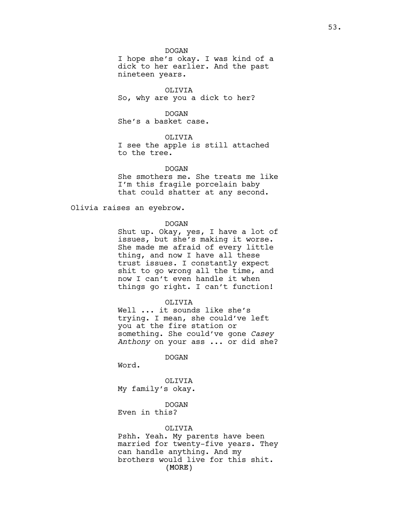DOGAN

I hope she's okay. I was kind of a dick to her earlier. And the past nineteen years.

OLIVIA So, why are you a dick to her?

# DOGAN

She's a basket case.

# OLIVIA

I see the apple is still attached to the tree.

DOGAN

She smothers me. She treats me like I'm this fragile porcelain baby that could shatter at any second.

Olivia raises an eyebrow.

#### DOGAN

Shut up. Okay, yes, I have a lot of issues, but she's making it worse. She made me afraid of every little thing, and now I have all these trust issues. I constantly expect shit to go wrong all the time, and now I can't even handle it when things go right. I can't function!

#### OLIVIA

Well ... it sounds like she's trying. I mean, she could've left you at the fire station or something. She could've gone *Casey Anthony* on your ass ... or did she?

DOGAN

Word.

OLIVIA My family's okay.

## DOGAN

Even in this?

## OLIVIA

(MORE) Pshh. Yeah. My parents have been married for twenty-five years. They can handle anything. And my brothers would live for this shit.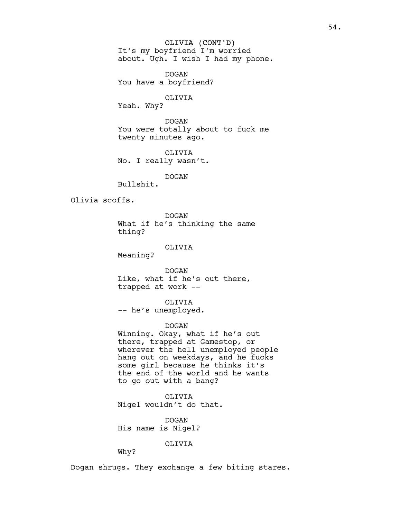OLIVIA (CONT'D) It's my boyfriend I'm worried about. Ugh. I wish I had my phone.

DOGAN You have a boyfriend?

# OLIVIA

Yeah. Why?

DOGAN You were totally about to fuck me twenty minutes ago.

OLIVIA No. I really wasn't.

DOGAN

Bullshit.

Olivia scoffs.

DOGAN What if he's thinking the same thing?

OLIVIA

Meaning?

DOGAN Like, what if he's out there, trapped at work --

OLIVIA -- he's unemployed.

DOGAN

Winning. Okay, what if he's out there, trapped at Gamestop, or wherever the hell unemployed people hang out on weekdays, and he fucks some girl because he thinks it's the end of the world and he wants to go out with a bang?

OLIVIA Nigel wouldn't do that.

DOGAN His name is Nigel?

OLIVIA

Why?

Dogan shrugs. They exchange a few biting stares.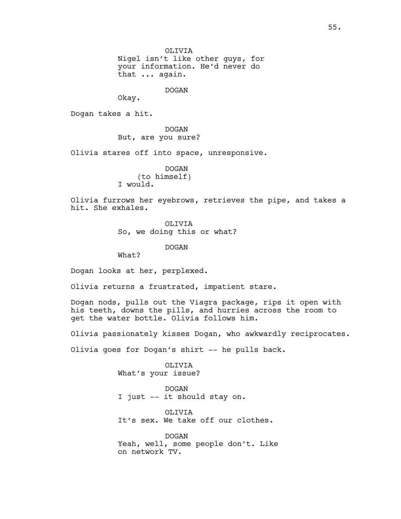Nigel isn't like other guys, for your information. He'd never do that ... again.

DOGAN

Okay.

Dogan takes a hit.

DOGAN But, are you sure?

Olivia stares off into space, unresponsive.

DOGAN (to himself) I would.

Olivia furrows her eyebrows, retrieves the pipe, and takes a hit. She exhales.

OLIVIA

So, we doing this or what?

DOGAN

What?

Dogan looks at her, perplexed.

Olivia returns a frustrated, impatient stare.

Dogan nods, pulls out the Viagra package, rips it open with his teeth, downs the pills, and hurries across the room to get the water bottle. Olivia follows him.

Olivia passionately kisses Dogan, who awkwardly reciprocates.

Olivia goes for Dogan's shirt -- he pulls back.

OLIVIA What's your issue?

DOGAN I just -- it should stay on.

OLIVIA It's sex. We take off our clothes.

DOGAN Yeah, well, some people don't. Like on network TV.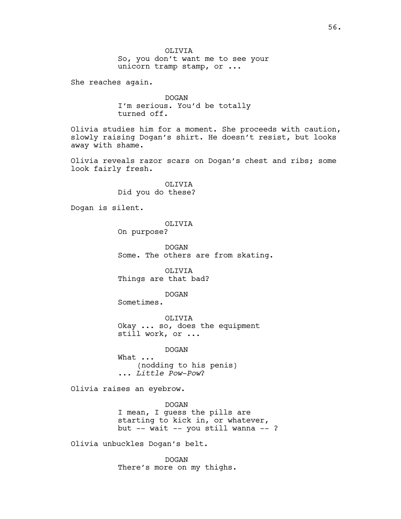OLIVIA So, you don't want me to see your unicorn tramp stamp, or ...

She reaches again.

DOGAN I'm serious. You'd be totally turned off.

Olivia studies him for a moment. She proceeds with caution, slowly raising Dogan's shirt. He doesn't resist, but looks away with shame.

Olivia reveals razor scars on Dogan's chest and ribs; some look fairly fresh.

> OLIVIA Did you do these?

Dogan is silent.

OLIVIA

On purpose?

DOGAN Some. The others are from skating.

OLIVIA Things are that bad?

DOGAN

Sometimes.

OLIVIA Okay ... so, does the equipment still work, or ...

DOGAN

What ... (nodding to his penis) ... *Little Pow-Pow*?

Olivia raises an eyebrow.

DOGAN I mean, I guess the pills are starting to kick in, or whatever, but -- wait -- you still wanna -- ?

Olivia unbuckles Dogan's belt.

DOGAN There's more on my thighs.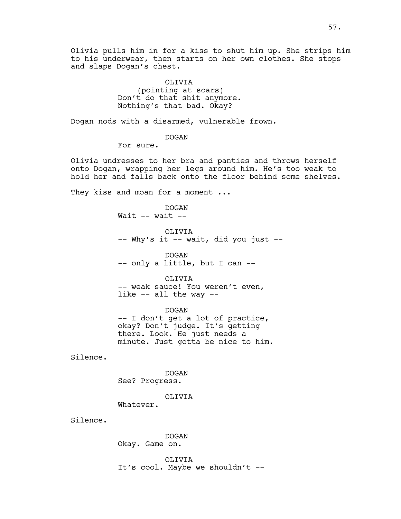Olivia pulls him in for a kiss to shut him up. She strips him to his underwear, then starts on her own clothes. She stops and slaps Dogan's chest.

> OLIVIA (pointing at scars) Don't do that shit anymore. Nothing's that bad. Okay?

Dogan nods with a disarmed, vulnerable frown.

DOGAN

For sure.

Olivia undresses to her bra and panties and throws herself onto Dogan, wrapping her legs around him. He's too weak to hold her and falls back onto the floor behind some shelves.

They kiss and moan for a moment ...

DOGAN Wait  $--$  wait  $--$ 

OLIVIA -- Why's it -- wait, did you just --

DOGAN -- only a little, but I can --

OLIVIA

-- weak sauce! You weren't even, like -- all the way --

DOGAN -- I don't get a lot of practice, okay? Don't judge. It's getting there. Look. He just needs a minute. Just gotta be nice to him.

Silence.

DOGAN See? Progress.

OLIVIA

Whatever.

Silence.

DOGAN Okay. Game on.

OLIVIA It's cool. Maybe we shouldn't --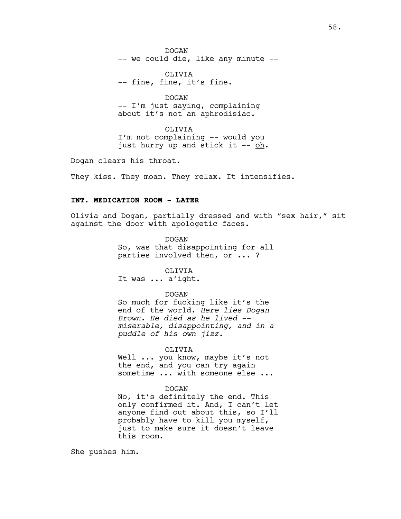DOGAN -- we could die, like any minute --

OLIVIA -- fine, fine, it's fine.

DOGAN -- I'm just saying, complaining about it's not an aphrodisiac.

OLIVIA I'm not complaining -- would you just hurry up and stick it -- oh.

Dogan clears his throat.

They kiss. They moan. They relax. It intensifies.

# **INT. MEDICATION ROOM - LATER**

Olivia and Dogan, partially dressed and with "sex hair," sit against the door with apologetic faces.

> DOGAN So, was that disappointing for all parties involved then, or ... ?

OLIVIA It was ... a'ight.

#### DOGAN

So much for fucking like it's the end of the world. *Here lies Dogan Brown. He died as he lived - miserable, disappointing, and in a puddle of his own jizz.*

#### OLIVIA

Well ... you know, maybe it's not the end, and you can try again sometime ... with someone else ...

#### DOGAN

No, it's definitely the end. This only confirmed it. And, I can't let anyone find out about this, so I'll probably have to kill you myself, just to make sure it doesn't leave this room.

She pushes him.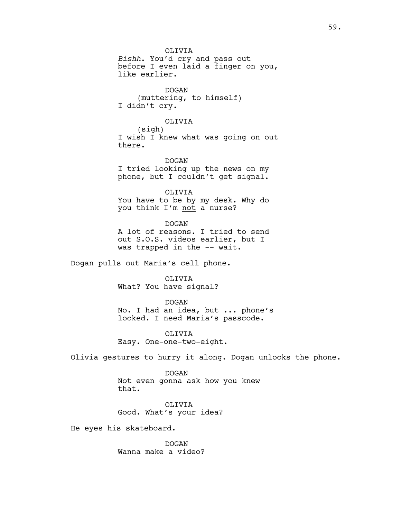OLIVIA *Bishh*. You'd cry and pass out before I even laid a finger on you, like earlier.

DOGAN (muttering, to himself) I didn't cry.

#### OLIVIA

(sigh) I wish I knew what was going on out there.

DOGAN I tried looking up the news on my phone, but I couldn't get signal.

OLIVIA You have to be by my desk. Why do you think I'm not a nurse?

DOGAN A lot of reasons. I tried to send out S.O.S. videos earlier, but I was trapped in the -- wait.

Dogan pulls out Maria's cell phone.

OLIVIA What? You have signal?

#### DOGAN

No. I had an idea, but ... phone's locked. I need Maria's passcode.

OLIVIA Easy. One-one-two-eight.

Olivia gestures to hurry it along. Dogan unlocks the phone.

DOGAN Not even gonna ask how you knew that.

OLIVIA Good. What's your idea?

He eyes his skateboard.

DOGAN Wanna make a video?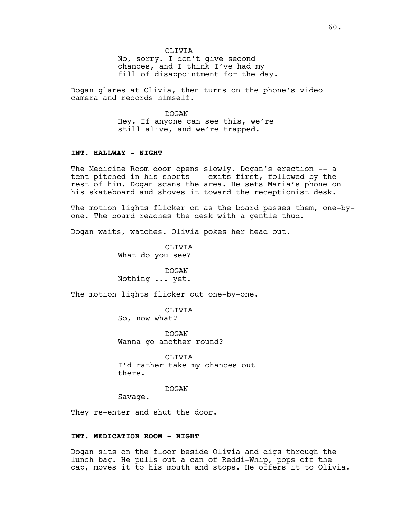No, sorry. I don't give second chances, and I think I've had my fill of disappointment for the day.

Dogan glares at Olivia, then turns on the phone's video camera and records himself.

> DOGAN Hey. If anyone can see this, we're still alive, and we're trapped.

# **INT. HALLWAY - NIGHT**

The Medicine Room door opens slowly. Dogan's erection -- a tent pitched in his shorts -- exits first, followed by the rest of him. Dogan scans the area. He sets Maria's phone on his skateboard and shoves it toward the receptionist desk.

The motion lights flicker on as the board passes them, one-byone. The board reaches the desk with a gentle thud.

Dogan waits, watches. Olivia pokes her head out.

OLIVIA What do you see?

DOGAN Nothing ... yet.

The motion lights flicker out one-by-one.

OLIVIA So, now what?

DOGAN Wanna go another round?

OLIVIA I'd rather take my chances out there.

DOGAN

Savage.

They re-enter and shut the door.

### **INT. MEDICATION ROOM - NIGHT**

Dogan sits on the floor beside Olivia and digs through the lunch bag. He pulls out a can of Reddi-Whip, pops off the cap, moves it to his mouth and stops. He offers it to Olivia.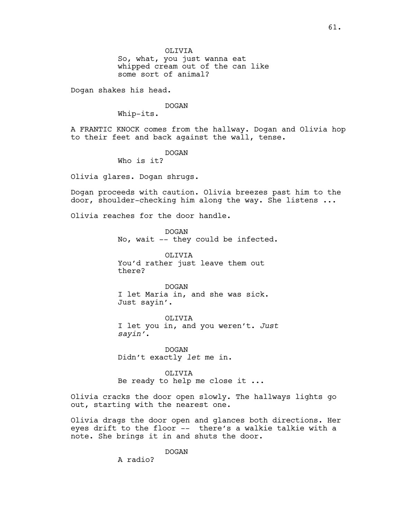So, what, you just wanna eat whipped cream out of the can like some sort of animal?

Dogan shakes his head.

#### DOGAN

Whip-its.

A FRANTIC KNOCK comes from the hallway. Dogan and Olivia hop to their feet and back against the wall, tense.

DOGAN

Who is it?

Olivia glares. Dogan shrugs.

Dogan proceeds with caution. Olivia breezes past him to the door, shoulder-checking him along the way. She listens ...

Olivia reaches for the door handle.

DOGAN No, wait -- they could be infected.

OLIVIA You'd rather just leave them out there?

DOGAN I let Maria in, and she was sick. Just sayin'.

OLIVIA I let you in, and you weren't. *Just sayin'*.

DOGAN Didn't exactly *let* me in.

OLIVIA Be ready to help me close it ...

Olivia cracks the door open slowly. The hallways lights go out, starting with the nearest one.

Olivia drags the door open and glances both directions. Her eyes drift to the floor -- there's a walkie talkie with a note. She brings it in and shuts the door.

DOGAN

A radio?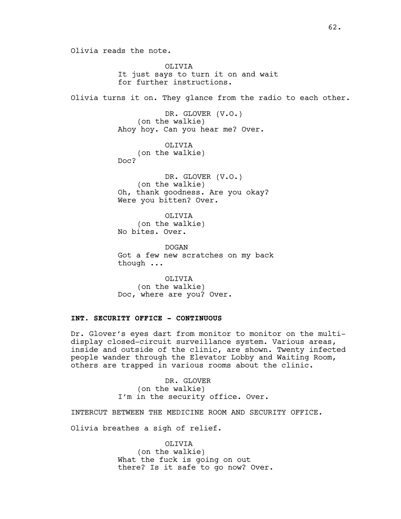Olivia reads the note.

OLIVIA It just says to turn it on and wait for further instructions. Olivia turns it on. They glance from the radio to each other. DR. GLOVER (V.O.) (on the walkie) Ahoy hoy. Can you hear me? Over. OLIVIA (on the walkie) Doc? DR. GLOVER (V.O.) (on the walkie) Oh, thank goodness. Are you okay?

> OLIVIA (on the walkie)

Were you bitten? Over.

No bites. Over.

DOGAN Got a few new scratches on my back though ...

OLIVIA (on the walkie) Doc, where are you? Over.

# **INT. SECURITY OFFICE - CONTINUOUS**

Dr. Glover's eyes dart from monitor to monitor on the multidisplay closed-circuit surveillance system. Various areas, inside and outside of the clinic, are shown. Twenty infected people wander through the Elevator Lobby and Waiting Room, others are trapped in various rooms about the clinic.

> DR. GLOVER (on the walkie) I'm in the security office. Over.

INTERCUT BETWEEN THE MEDICINE ROOM AND SECURITY OFFICE.

Olivia breathes a sigh of relief.

OLIVIA (on the walkie) What the fuck is going on out there? Is it safe to go now? Over.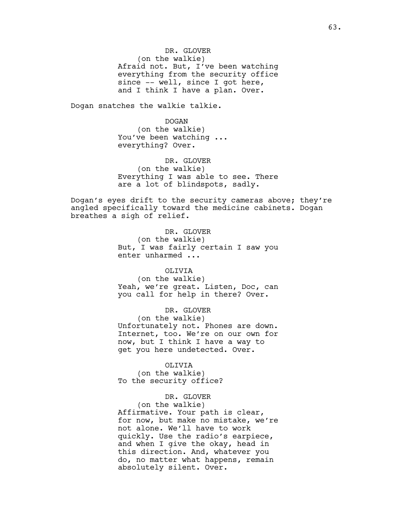DR. GLOVER (on the walkie) Afraid not. But, I've been watching everything from the security office since -- well, since I got here, and I think I have a plan. Over.

Dogan snatches the walkie talkie.

DOGAN (on the walkie) You've been watching ... everything? Over.

DR. GLOVER (on the walkie) Everything I was able to see. There are a lot of blindspots, sadly.

Dogan's eyes drift to the security cameras above; they're angled specifically toward the medicine cabinets. Dogan breathes a sigh of relief.

> DR. GLOVER (on the walkie) But, I was fairly certain I saw you enter unharmed ...

> OLIVIA (on the walkie) Yeah, we're great. Listen, Doc, can you call for help in there? Over.

> DR. GLOVER (on the walkie) Unfortunately not. Phones are down. Internet, too. We're on our own for now, but I think I have a way to get you here undetected. Over.

OLIVIA (on the walkie) To the security office?

DR. GLOVER (on the walkie) Affirmative. Your path is clear, for now, but make no mistake, we're not alone. We'll have to work quickly. Use the radio's earpiece, and when I give the okay, head in this direction. And, whatever you do, no matter what happens, remain absolutely silent. Over.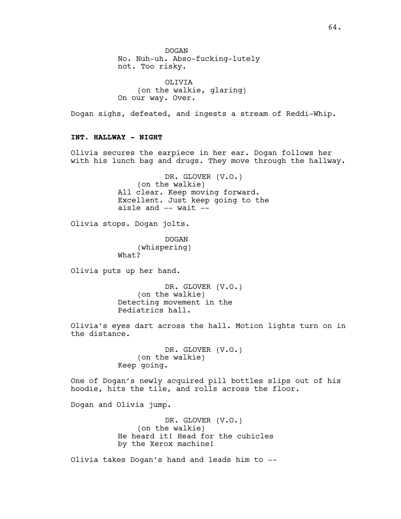DOGAN No. Nuh-uh. Abso-fucking-lutely not. Too risky.

OLIVIA (on the walkie, glaring) On our way. Over.

Dogan sighs, defeated, and ingests a stream of Reddi-Whip.

# **INT. HALLWAY - NIGHT**

Olivia secures the earpiece in her ear. Dogan follows her with his lunch bag and drugs. They move through the hallway.

> DR. GLOVER (V.O.) (on the walkie) All clear. Keep moving forward. Excellent. Just keep going to the aisle and -- wait --

Olivia stops. Dogan jolts.

DOGAN (whispering) What?

Olivia puts up her hand.

DR. GLOVER (V.O.) (on the walkie) Detecting movement in the Pediatrics hall.

Olivia's eyes dart across the hall. Motion lights turn on in the distance.

> DR. GLOVER (V.O.) (on the walkie) Keep going.

One of Dogan's newly acquired pill bottles slips out of his hoodie, hits the tile, and rolls across the floor.

Dogan and Olivia jump.

DR. GLOVER (V.O.) (on the walkie) He heard it! Head for the cubicles by the Xerox machine!

Olivia takes Dogan's hand and leads him to --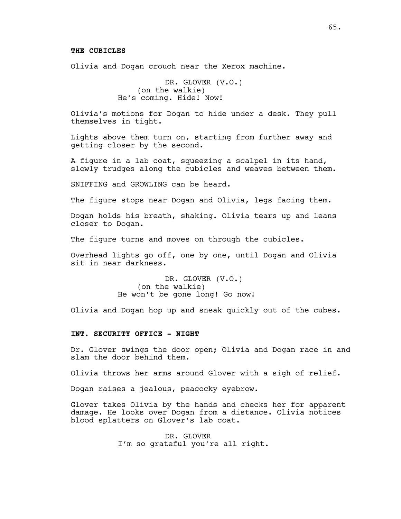Olivia and Dogan crouch near the Xerox machine.

DR. GLOVER (V.O.) (on the walkie) He's coming. Hide! Now!

Olivia's motions for Dogan to hide under a desk. They pull themselves in tight.

Lights above them turn on, starting from further away and getting closer by the second.

A figure in a lab coat, squeezing a scalpel in its hand, slowly trudges along the cubicles and weaves between them.

SNIFFING and GROWLING can be heard.

The figure stops near Dogan and Olivia, legs facing them.

Dogan holds his breath, shaking. Olivia tears up and leans closer to Dogan.

The figure turns and moves on through the cubicles.

Overhead lights go off, one by one, until Dogan and Olivia sit in near darkness.

> DR. GLOVER (V.O.) (on the walkie) He won't be gone long! Go now!

Olivia and Dogan hop up and sneak quickly out of the cubes.

## **INT. SECURITY OFFICE - NIGHT**

Dr. Glover swings the door open; Olivia and Dogan race in and slam the door behind them.

Olivia throws her arms around Glover with a sigh of relief.

Dogan raises a jealous, peacocky eyebrow.

Glover takes Olivia by the hands and checks her for apparent damage. He looks over Dogan from a distance. Olivia notices blood splatters on Glover's lab coat.

> DR. GLOVER I'm so grateful you're all right.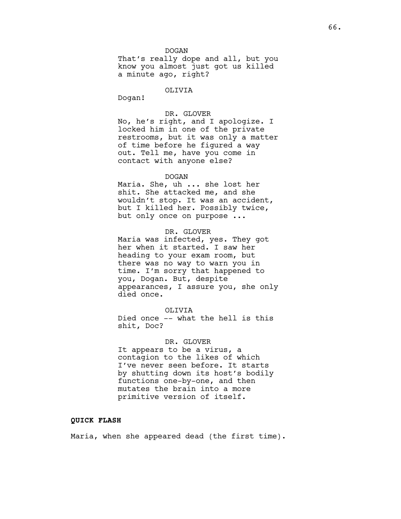DOGAN

That's really dope and all, but you know you almost just got us killed a minute ago, right?

# OLIVIA

Dogan!

### DR. GLOVER

No, he's right, and I apologize. I locked him in one of the private restrooms, but it was only a matter of time before he figured a way out. Tell me, have you come in contact with anyone else?

### DOGAN

Maria. She, uh ... she lost her shit. She attacked me, and she wouldn't stop. It was an accident, but I killed her. Possibly twice, but only once on purpose ...

# DR. GLOVER

Maria was infected, yes. They got her when it started. I saw her heading to your exam room, but there was no way to warn you in time. I'm sorry that happened to you, Dogan. But, despite appearances, I assure you, she only died once.

# OLIVIA

Died once -- what the hell is this shit, Doc?

#### DR. GLOVER

It appears to be a virus, a contagion to the likes of which I've never seen before. It starts by shutting down its host's bodily functions one-by-one, and then mutates the brain into a more primitive version of itself.

# **QUICK FLASH**

Maria, when she appeared dead (the first time).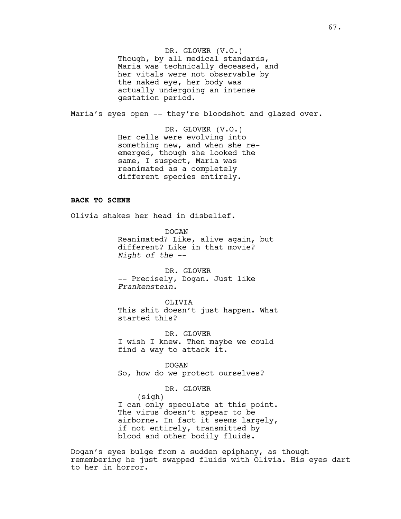DR. GLOVER (V.O.) Though, by all medical standards, Maria was technically deceased, and her vitals were not observable by the naked eye, her body was actually undergoing an intense gestation period.

Maria's eyes open -- they're bloodshot and glazed over.

DR. GLOVER (V.O.) Her cells were evolving into something new, and when she reemerged, though she looked the same, I suspect, Maria was reanimated as a completely different species entirely.

# **BACK TO SCENE**

Olivia shakes her head in disbelief.

DOGAN Reanimated? Like, alive again, but different? Like in that movie? *Night of the* --

DR. GLOVER -- Precisely, Dogan. Just like *Frankenstein*.

OLIVIA This shit doesn't just happen. What started this?

DR. GLOVER I wish I knew. Then maybe we could find a way to attack it.

DOGAN So, how do we protect ourselves?

DR. GLOVER (sigh) I can only speculate at this point. The virus doesn't appear to be airborne. In fact it seems largely, if not entirely, transmitted by blood and other bodily fluids.

Dogan's eyes bulge from a sudden epiphany, as though remembering he just swapped fluids with Olivia. His eyes dart to her in horror.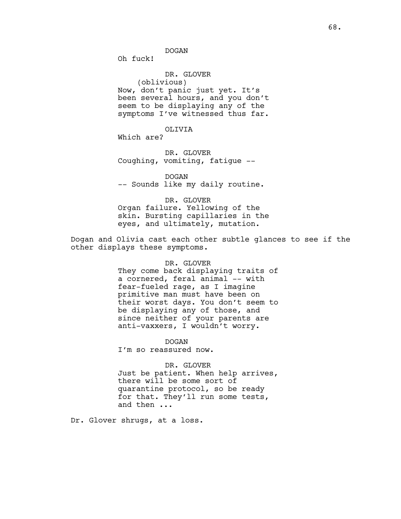Oh fuck!

DR. GLOVER (oblivious) Now, don't panic just yet. It's been several hours, and you don't seem to be displaying any of the symptoms I've witnessed thus far.

OLIVIA Which are?

DR. GLOVER Coughing, vomiting, fatigue --

DOGAN -- Sounds like my daily routine.

DR. GLOVER Organ failure. Yellowing of the skin. Bursting capillaries in the eyes, and ultimately, mutation.

Dogan and Olivia cast each other subtle glances to see if the other displays these symptoms.

> DR. GLOVER They come back displaying traits of a cornered, feral animal -- with fear-fueled rage, as I imagine primitive man must have been on their worst days. You don't seem to be displaying any of those, and since neither of your parents are anti-vaxxers, I wouldn't worry.

DOGAN I'm so reassured now.

DR. GLOVER Just be patient. When help arrives, there will be some sort of quarantine protocol, so be ready for that. They'll run some tests, and then ...

Dr. Glover shrugs, at a loss.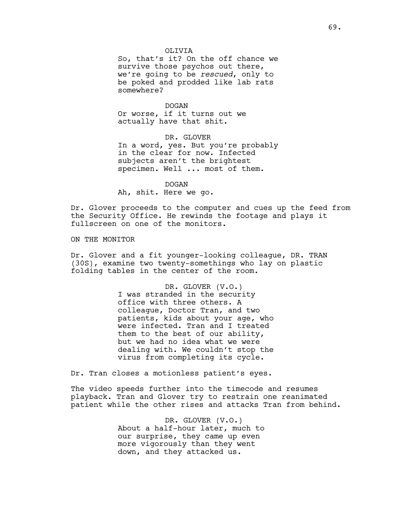So, that's it? On the off chance we survive those psychos out there, we're going to be *rescued*, only to be poked and prodded like lab rats somewhere?

DOGAN Or worse, if it turns out we actually have that shit.

DR. GLOVER In a word, yes. But you're probably in the clear for now. Infected subjects aren't the brightest specimen. Well ... most of them.

DOGAN Ah, shit. Here we go.

Dr. Glover proceeds to the computer and cues up the feed from the Security Office. He rewinds the footage and plays it fullscreen on one of the monitors.

### ON THE MONITOR

Dr. Glover and a fit younger-looking colleague, DR. TRAN (30S), examine two twenty-somethings who lay on plastic folding tables in the center of the room.

> DR. GLOVER (V.O.) I was stranded in the security office with three others. A colleague, Doctor Tran, and two patients, kids about your age, who were infected. Tran and I treated them to the best of our ability, but we had no idea what we were dealing with. We couldn't stop the virus from completing its cycle.

Dr. Tran closes a motionless patient's eyes.

The video speeds further into the timecode and resumes playback. Tran and Glover try to restrain one reanimated patient while the other rises and attacks Tran from behind.

> DR. GLOVER (V.O.) About a half-hour later, much to our surprise, they came up even more vigorously than they went down, and they attacked us.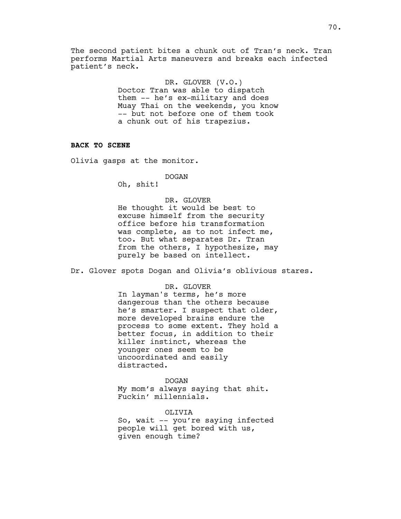The second patient bites a chunk out of Tran's neck. Tran performs Martial Arts maneuvers and breaks each infected patient's neck.

> DR. GLOVER (V.O.) Doctor Tran was able to dispatch them -- he's ex-military and does Muay Thai on the weekends, you know -- but not before one of them took a chunk out of his trapezius.

## **BACK TO SCENE**

Olivia gasps at the monitor.

### DOGAN

Oh, shit!

# DR. GLOVER

He thought it would be best to excuse himself from the security office before his transformation was complete, as to not infect me, too. But what separates Dr. Tran from the others, I hypothesize, may purely be based on intellect.

Dr. Glover spots Dogan and Olivia's oblivious stares.

#### DR. GLOVER

In layman's terms, he's more dangerous than the others because he's smarter. I suspect that older, more developed brains endure the process to some extent. They hold a better focus, in addition to their killer instinct, whereas the younger ones seem to be uncoordinated and easily distracted.

#### DOGAN

My mom's always saying that shit. Fuckin' millennials.

# OLIVIA

So, wait -- you're saying infected people will get bored with us, given enough time?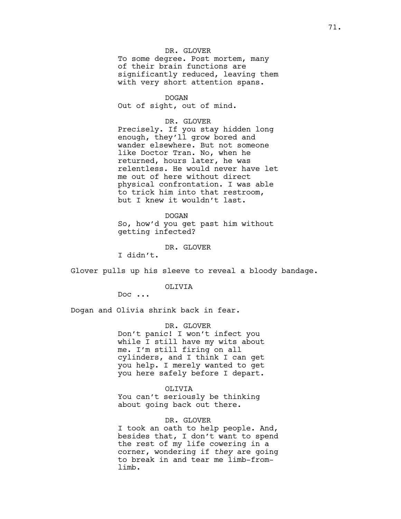# DR. GLOVER To some degree. Post mortem, many of their brain functions are significantly reduced, leaving them with very short attention spans.

DOGAN Out of sight, out of mind.

DR. GLOVER Precisely. If you stay hidden long enough, they'll grow bored and wander elsewhere. But not someone like Doctor Tran. No, when he returned, hours later, he was relentless. He would never have let me out of here without direct physical confrontation. I was able to trick him into that restroom, but I knew it wouldn't last.

DOGAN So, how'd you get past him without getting infected?

DR. GLOVER

I didn't.

Glover pulls up his sleeve to reveal a bloody bandage.

OLIVIA

Doc ...

Dogan and Olivia shrink back in fear.

DR. GLOVER Don't panic! I won't infect you while I still have my wits about me. I'm still firing on all cylinders, and I think I can get you help. I merely wanted to get you here safely before I depart.

#### OLIVIA

You can't seriously be thinking about going back out there.

#### DR. GLOVER

I took an oath to help people. And, besides that, I don't want to spend the rest of my life cowering in a corner, wondering if *they* are going to break in and tear me limb-fromlimb.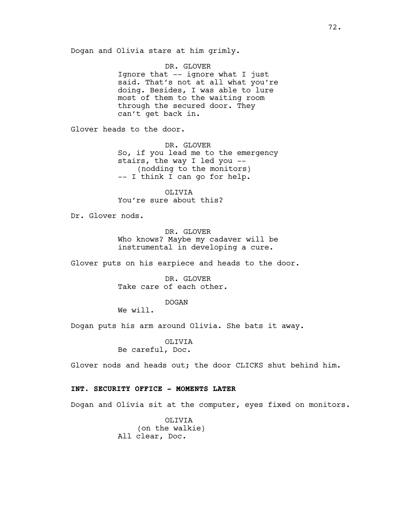Dogan and Olivia stare at him grimly.

DR. GLOVER

Ignore that -- ignore what I just said. That's not at all what you're doing. Besides, I was able to lure most of them to the waiting room through the secured door. They can't get back in.

Glover heads to the door.

DR. GLOVER So, if you lead me to the emergency stairs, the way I led you -- (nodding to the monitors) -- I think I can go for help.

OLIVIA You're sure about this?

Dr. Glover nods.

DR. GLOVER Who knows? Maybe my cadaver will be instrumental in developing a cure.

Glover puts on his earpiece and heads to the door.

DR. GLOVER Take care of each other.

DOGAN

We will.

Dogan puts his arm around Olivia. She bats it away.

OLIVIA Be careful, Doc.

Glover nods and heads out; the door CLICKS shut behind him.

## **INT. SECURITY OFFICE - MOMENTS LATER**

Dogan and Olivia sit at the computer, eyes fixed on monitors.

OLIVIA (on the walkie) All clear, Doc.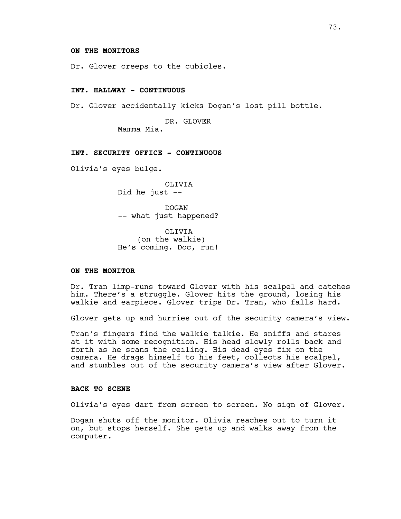## **ON THE MONITORS**

Dr. Glover creeps to the cubicles.

### **INT. HALLWAY - CONTINUOUS**

Dr. Glover accidentally kicks Dogan's lost pill bottle.

DR. GLOVER

Mamma Mia.

# **INT. SECURITY OFFICE - CONTINUOUS**

Olivia's eyes bulge.

OLIVIA Did he just --

DOGAN -- what just happened?

OLIVIA (on the walkie) He's coming. Doc, run!

### **ON THE MONITOR**

Dr. Tran limp-runs toward Glover with his scalpel and catches him. There's a struggle. Glover hits the ground, losing his walkie and earpiece. Glover trips Dr. Tran, who falls hard.

Glover gets up and hurries out of the security camera's view.

Tran's fingers find the walkie talkie. He sniffs and stares at it with some recognition. His head slowly rolls back and forth as he scans the ceiling. His dead eyes fix on the camera. He drags himself to his feet, collects his scalpel, and stumbles out of the security camera's view after Glover.

### **BACK TO SCENE**

Olivia's eyes dart from screen to screen. No sign of Glover.

Dogan shuts off the monitor. Olivia reaches out to turn it on, but stops herself. She gets up and walks away from the computer.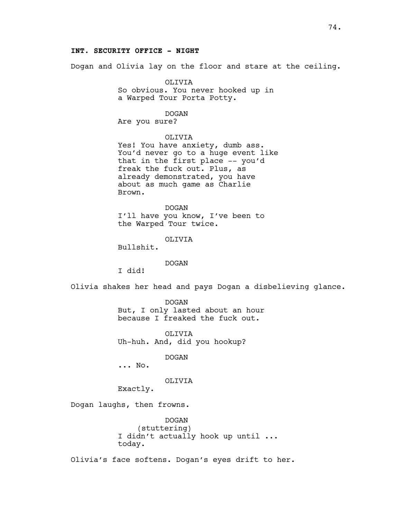## **INT. SECURITY OFFICE - NIGHT**

Dogan and Olivia lay on the floor and stare at the ceiling.

OLIVIA So obvious. You never hooked up in a Warped Tour Porta Potty.

DOGAN

Are you sure?

OLIVIA

Yes! You have anxiety, dumb ass. You'd never go to a huge event like that in the first place -- you'd freak the fuck out. Plus, as already demonstrated, you have about as much game as Charlie Brown.

DOGAN I'll have you know, I've been to the Warped Tour twice.

OLIVIA

Bullshit.

DOGAN

I did!

Olivia shakes her head and pays Dogan a disbelieving glance.

DOGAN But, I only lasted about an hour because I freaked the fuck out.

OLIVIA Uh-huh. And, did you hookup?

DOGAN

... No.

## OLIVIA

Exactly.

Dogan laughs, then frowns.

DOGAN (stuttering) I didn't actually hook up until ... today.

Olivia's face softens. Dogan's eyes drift to her.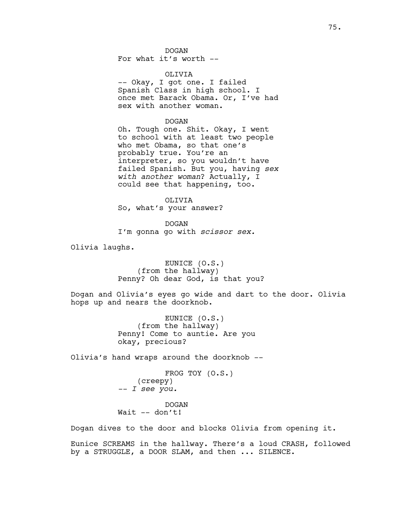DOGAN For what it's worth --

## OLIVIA

-- Okay, I got one. I failed Spanish Class in high school. I once met Barack Obama. Or, I've had sex with another woman.

### DOGAN

Oh. Tough one. Shit. Okay, I went to school with at least two people who met Obama, so that one's probably true. You're an interpreter, so you wouldn't have failed Spanish. But you, having *sex with another woman*? Actually, I could see that happening, too.

OLIVIA So, what's your answer?

DOGAN I'm gonna go with *scissor sex.*

Olivia laughs.

EUNICE (O.S.) (from the hallway) Penny? Oh dear God, is that you?

Dogan and Olivia's eyes go wide and dart to the door. Olivia hops up and nears the doorknob.

> EUNICE (O.S.) (from the hallway) Penny! Come to auntie. Are you okay, precious?

Olivia's hand wraps around the doorknob --

FROG TOY (O.S.) (creepy) *-- I see you.*

DOGAN Wait -- don't!

Dogan dives to the door and blocks Olivia from opening it.

Eunice SCREAMS in the hallway. There's a loud CRASH, followed by a STRUGGLE, a DOOR SLAM, and then ... SILENCE.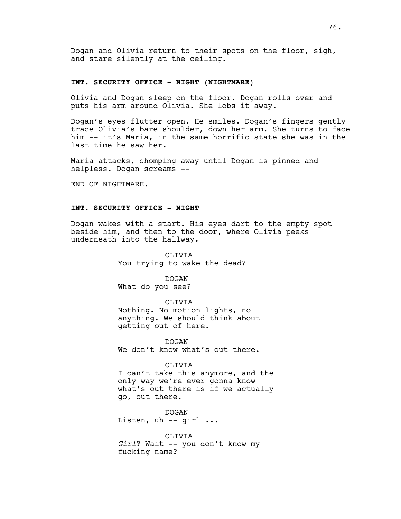Dogan and Olivia return to their spots on the floor, sigh, and stare silently at the ceiling.

### **INT. SECURITY OFFICE - NIGHT (NIGHTMARE)**

Olivia and Dogan sleep on the floor. Dogan rolls over and puts his arm around Olivia. She lobs it away.

Dogan's eyes flutter open. He smiles. Dogan's fingers gently trace Olivia's bare shoulder, down her arm. She turns to face him -- it's Maria, in the same horrific state she was in the last time he saw her.

Maria attacks, chomping away until Dogan is pinned and helpless. Dogan screams --

END OF NIGHTMARE.

## **INT. SECURITY OFFICE - NIGHT**

Dogan wakes with a start. His eyes dart to the empty spot beside him, and then to the door, where Olivia peeks underneath into the hallway.

> OLIVIA You trying to wake the dead?

> > DOGAN

What do you see?

OLIVIA

Nothing. No motion lights, no anything. We should think about getting out of here.

DOGAN We don't know what's out there.

### OLIVIA

I can't take this anymore, and the only way we're ever gonna know what's out there is if we actually go, out there.

DOGAN Listen, uh  $-$  girl  $\ldots$ 

OLIVIA *Girl*? Wait -- you don't know my fucking name?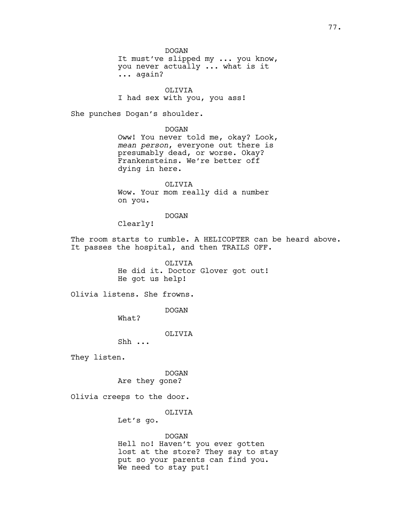DOGAN It must've slipped my ... you know, you never actually ... what is it ... again?

OLIVIA I had sex with you, you ass!

She punches Dogan's shoulder.

DOGAN Oww! You never told me, okay? Look, *mean person*, everyone out there is presumably dead, or worse. Okay? Frankensteins. We're better off dying in here.

OLIVIA Wow. Your mom really did a number on you.

DOGAN

Clearly!

The room starts to rumble. A HELICOPTER can be heard above. It passes the hospital, and then TRAILS OFF.

> OLIVIA He did it. Doctor Glover got out! He got us help!

Olivia listens. She frowns.

DOGAN

What?

OLIVIA

Shh ...

They listen.

DOGAN Are they gone?

Olivia creeps to the door.

OLIVIA

Let's go.

## DOGAN

Hell no! Haven't you ever gotten lost at the store? They say to stay put so your parents can find you. We need to stay put!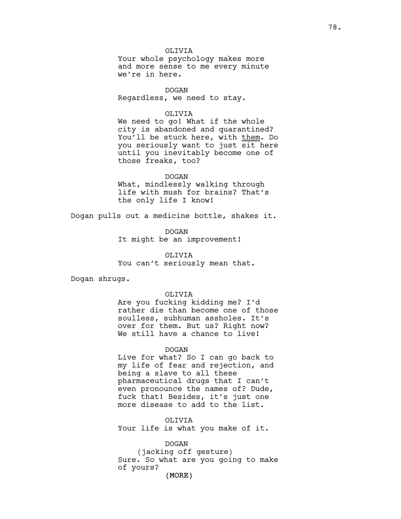OLIVIA Your whole psychology makes more and more sense to me every minute we're in here.

DOGAN Regardless, we need to stay.

### OLIVIA

We need to go! What if the whole city is abandoned and quarantined? You'll be stuck here, with them. Do you seriously want to just sit here until you inevitably become one of those freaks, too?

## DOGAN

What, mindlessly walking through life with mush for brains? That's the only life I know!

Dogan pulls out a medicine bottle, shakes it.

DOGAN It might be an improvement!

OLIVIA You can't seriously mean that.

Dogan shrugs.

## OLIVIA

Are you fucking kidding me? I'd rather die than become one of those soulless, subhuman assholes. It's over for them. But us? Right now? We still have a chance to live!

### DOGAN

Live for what? So I can go back to my life of fear and rejection, and being a slave to all these pharmaceutical drugs that I can't even pronounce the names of? Dude, fuck that! Besides, it's just one more disease to add to the list.

OLIVIA Your life is what you make of it.

DOGAN (jacking off gesture) Sure. So what are you going to make of yours?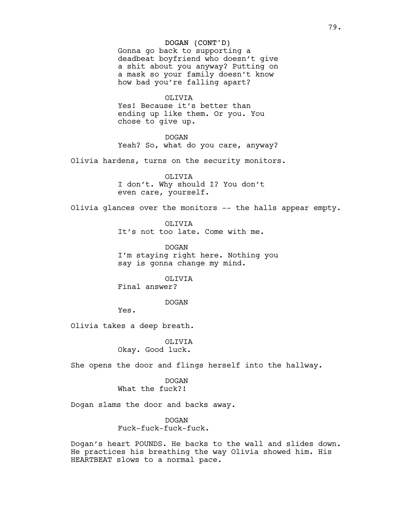## DOGAN (CONT'D)

Gonna go back to supporting a deadbeat boyfriend who doesn't give a shit about you anyway? Putting on a mask so your family doesn't know how bad you're falling apart?

#### OLIVIA

Yes! Because it's better than ending up like them. Or you. You chose to give up.

DOGAN

Yeah? So, what do you care, anyway?

Olivia hardens, turns on the security monitors.

OLIVIA I don't. Why should I? You don't even care, yourself.

Olivia glances over the monitors -- the halls appear empty.

OLIVIA

It's not too late. Come with me.

DOGAN I'm staying right here. Nothing you say is gonna change my mind.

OLIVIA

Final answer?

DOGAN

Yes.

Olivia takes a deep breath.

OLIVIA Okay. Good luck.

She opens the door and flings herself into the hallway.

DOGAN What the fuck?!

Dogan slams the door and backs away.

DOGAN Fuck-fuck-fuck-fuck.

Dogan's heart POUNDS. He backs to the wall and slides down. He practices his breathing the way Olivia showed him. His HEARTBEAT slows to a normal pace.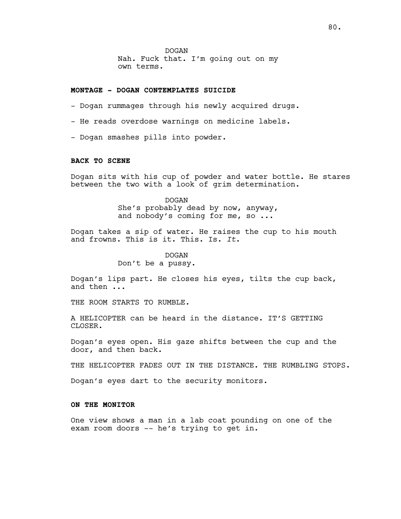DOGAN Nah. Fuck that. I'm going out on my own terms.

## **MONTAGE - DOGAN CONTEMPLATES SUICIDE**

- Dogan rummages through his newly acquired drugs.
- He reads overdose warnings on medicine labels.
- Dogan smashes pills into powder.

## **BACK TO SCENE**

Dogan sits with his cup of powder and water bottle. He stares between the two with a look of grim determination.

# DOGAN She's probably dead by now, anyway, and nobody's coming for me, so ...

Dogan takes a sip of water. He raises the cup to his mouth and frowns. This is it. This. Is. *It*.

## DOGAN

Don't be a pussy.

Dogan's lips part. He closes his eyes, tilts the cup back, and then ...

THE ROOM STARTS TO RUMBLE.

A HELICOPTER can be heard in the distance. IT'S GETTING CLOSER.

Dogan's eyes open. His gaze shifts between the cup and the door, and then back.

THE HELICOPTER FADES OUT IN THE DISTANCE. THE RUMBLING STOPS.

Dogan's eyes dart to the security monitors.

## **ON THE MONITOR**

One view shows a man in a lab coat pounding on one of the exam room doors -- he's trying to get in.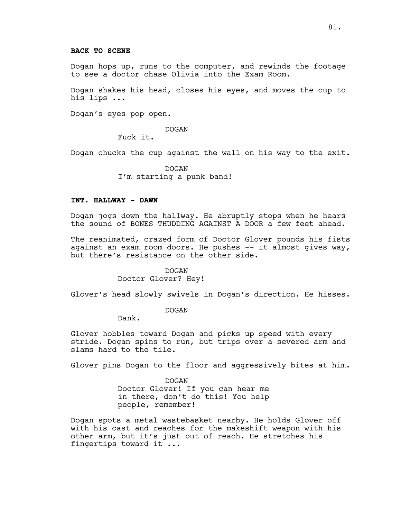### **BACK TO SCENE**

Dogan hops up, runs to the computer, and rewinds the footage to see a doctor chase Olivia into the Exam Room.

Dogan shakes his head, closes his eyes, and moves the cup to his lips ...

Dogan's eyes pop open.

DOGAN

Fuck it.

Dogan chucks the cup against the wall on his way to the exit.

DOGAN I'm starting a punk band!

## **INT. HALLWAY - DAWN**

Dogan jogs down the hallway. He abruptly stops when he hears the sound of BONES THUDDING AGAINST A DOOR a few feet ahead.

The reanimated, crazed form of Doctor Glover pounds his fists against an exam room doors. He pushes  $-$  it almost gives way, but there's resistance on the other side.

> DOGAN Doctor Glover? Hey!

Glover's head slowly swivels in Dogan's direction. He hisses.

DOGAN

Dank.

Glover hobbles toward Dogan and picks up speed with every stride. Dogan spins to run, but trips over a severed arm and slams hard to the tile.

Glover pins Dogan to the floor and aggressively bites at him.

DOGAN Doctor Glover! If you can hear me in there, don't do this! You help people, remember!

Dogan spots a metal wastebasket nearby. He holds Glover off with his cast and reaches for the makeshift weapon with his other arm, but it's just out of reach. He stretches his fingertips toward it ...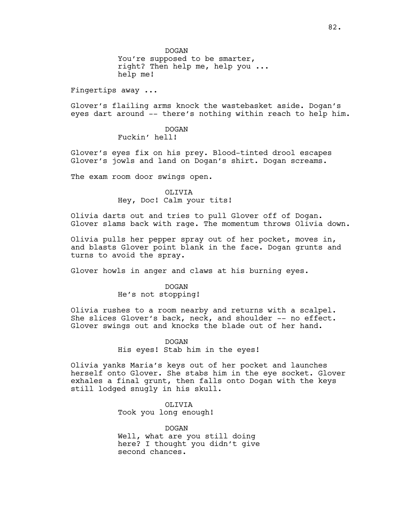DOGAN

You're supposed to be smarter, right? Then help me, help you ... help me!

Fingertips away ...

Glover's flailing arms knock the wastebasket aside. Dogan's eyes dart around -- there's nothing within reach to help him.

# DOGAN

Fuckin' hell!

Glover's eyes fix on his prey. Blood-tinted drool escapes Glover's jowls and land on Dogan's shirt. Dogan screams.

The exam room door swings open.

### OLIVIA Hey, Doc! Calm your tits!

Olivia darts out and tries to pull Glover off of Dogan. Glover slams back with rage. The momentum throws Olivia down.

Olivia pulls her pepper spray out of her pocket, moves in, and blasts Glover point blank in the face. Dogan grunts and turns to avoid the spray.

Glover howls in anger and claws at his burning eyes.

## DOGAN

### He's not stopping!

Olivia rushes to a room nearby and returns with a scalpel. She slices Glover's back, neck, and shoulder -- no effect. Glover swings out and knocks the blade out of her hand.

## DOGAN

His eyes! Stab him in the eyes!

Olivia yanks Maria's keys out of her pocket and launches herself onto Glover. She stabs him in the eye socket. Glover exhales a final grunt, then falls onto Dogan with the keys still lodged snugly in his skull.

> OLIVIA Took you long enough!

DOGAN Well, what are you still doing here? I thought you didn't give second chances.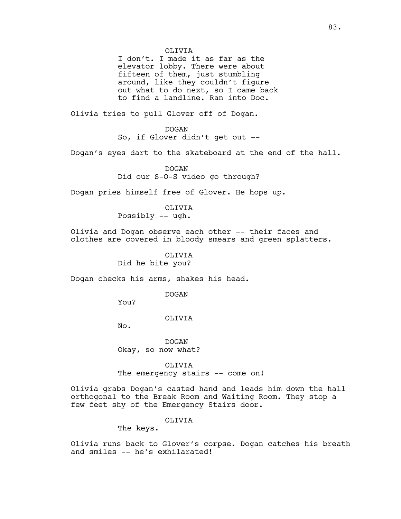I don't. I made it as far as the elevator lobby. There were about fifteen of them, just stumbling around, like they couldn't figure out what to do next, so I came back to find a landline. Ran into Doc.

Olivia tries to pull Glover off of Dogan.

DOGAN So, if Glover didn't get out --

Dogan's eyes dart to the skateboard at the end of the hall.

DOGAN Did our S-O-S video go through?

Dogan pries himself free of Glover. He hops up.

OLIVIA Possibly -- ugh.

Olivia and Dogan observe each other -- their faces and clothes are covered in bloody smears and green splatters.

> OLIVIA Did he bite you?

Dogan checks his arms, shakes his head.

DOGAN

You?

OLIVIA

No.

DOGAN Okay, so now what?

OLIVIA The emergency stairs -- come on!

Olivia grabs Dogan's casted hand and leads him down the hall orthogonal to the Break Room and Waiting Room. They stop a few feet shy of the Emergency Stairs door.

### OLIVIA

The keys.

Olivia runs back to Glover's corpse. Dogan catches his breath and smiles -- he's exhilarated!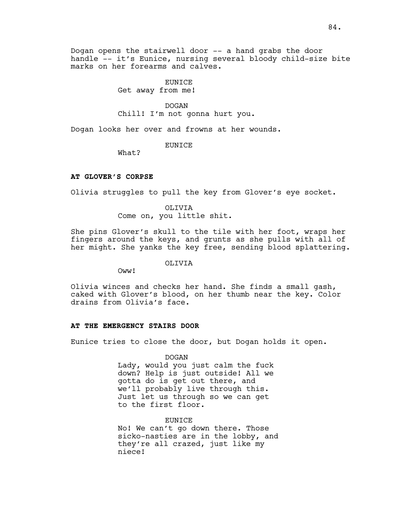Dogan opens the stairwell door -- a hand grabs the door handle -- it's Eunice, nursing several bloody child-size bite marks on her forearms and calves.

# EUNICE

Get away from me!

## DOGAN

Chill! I'm not gonna hurt you.

Dogan looks her over and frowns at her wounds.

### EUNICE

What?

# **AT GLOVER'S CORPSE**

Olivia struggles to pull the key from Glover's eye socket.

## OLIVIA

Come on, you little shit.

She pins Glover's skull to the tile with her foot, wraps her fingers around the keys, and grunts as she pulls with all of her might. She yanks the key free, sending blood splattering.

# OLIVIA

Oww!

Olivia winces and checks her hand. She finds a small gash, caked with Glover's blood, on her thumb near the key. Color drains from Olivia's face.

### **AT THE EMERGENCY STAIRS DOOR**

Eunice tries to close the door, but Dogan holds it open.

### DOGAN

Lady, would you just calm the fuck down? Help is just outside! All we gotta do is get out there, and we'll probably live through this. Just let us through so we can get to the first floor.

### EUNICE

No! We can't go down there. Those sicko-nasties are in the lobby, and they're all crazed, just like my niece!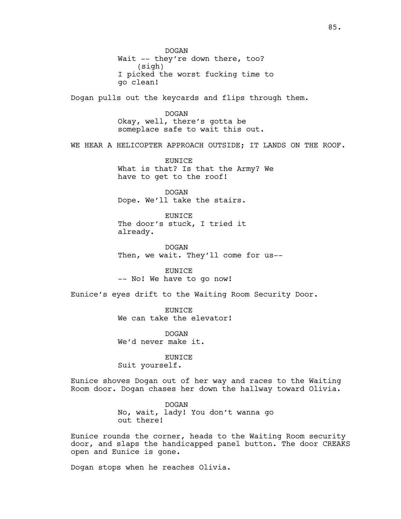DOGAN Wait -- they're down there, too? (sigh) I picked the worst fucking time to go clean! Dogan pulls out the keycards and flips through them. DOGAN Okay, well, there's gotta be someplace safe to wait this out. WE HEAR A HELICOPTER APPROACH OUTSIDE; IT LANDS ON THE ROOF. EUNICE What is that? Is that the Army? We have to get to the roof! DOGAN Dope. We'll take the stairs. EUNICE The door's stuck, I tried it already. DOGAN Then, we wait. They'll come for us-- EUNICE -- No! We have to go now! Eunice's eyes drift to the Waiting Room Security Door. EUNICE We can take the elevator! DOGAN We'd never make it. EUNICE Suit yourself. Eunice shoves Dogan out of her way and races to the Waiting Room door. Dogan chases her down the hallway toward Olivia. DOGAN No, wait, lady! You don't wanna go out there! Eunice rounds the corner, heads to the Waiting Room security door, and slaps the handicapped panel button. The door CREAKS

Dogan stops when he reaches Olivia.

open and Eunice is gone.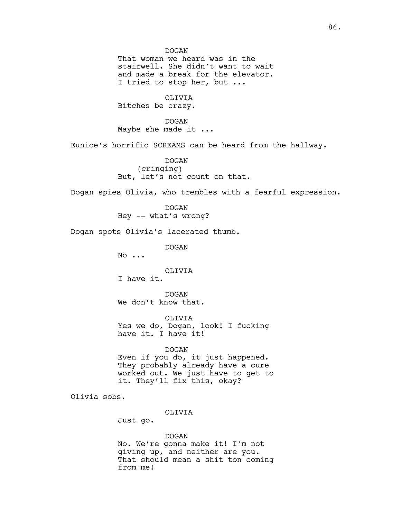DOGAN

That woman we heard was in the stairwell. She didn't want to wait and made a break for the elevator. I tried to stop her, but ...

OLIVIA

Bitches be crazy.

DOGAN Maybe she made it ...

Eunice's horrific SCREAMS can be heard from the hallway.

DOGAN (cringing) But, let's not count on that.

Dogan spies Olivia, who trembles with a fearful expression.

DOGAN Hey -- what's wrong?

Dogan spots Olivia's lacerated thumb.

DOGAN

No ...

OLIVIA

I have it.

DOGAN We don't know that.

OLIVIA Yes we do, Dogan, look! I fucking have it. I have it!

DOGAN

Even if you do, it just happened. They probably already have a cure worked out. We just have to get to it. They'll fix this, okay?

Olivia sobs.

OLIVIA

Just go.

DOGAN

No. We're gonna make it! I'm not giving up, and neither are you. That should mean a shit ton coming from me!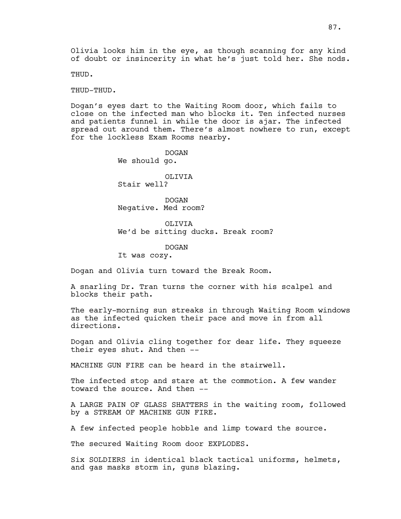Olivia looks him in the eye, as though scanning for any kind of doubt or insincerity in what he's just told her. She nods.

THUD.

THUD-THUD.

Dogan's eyes dart to the Waiting Room door, which fails to close on the infected man who blocks it. Ten infected nurses and patients funnel in while the door is ajar. The infected spread out around them. There's almost nowhere to run, except for the lockless Exam Rooms nearby.

> DOGAN We should go. OLIVIA

Stair well?

DOGAN Negative. Med room?

OLIVIA We'd be sitting ducks. Break room?

DOGAN

It was cozy.

Dogan and Olivia turn toward the Break Room.

A snarling Dr. Tran turns the corner with his scalpel and blocks their path.

The early-morning sun streaks in through Waiting Room windows as the infected quicken their pace and move in from all directions.

Dogan and Olivia cling together for dear life. They squeeze their eyes shut. And then --

MACHINE GUN FIRE can be heard in the stairwell.

The infected stop and stare at the commotion. A few wander toward the source. And then --

A LARGE PAIN OF GLASS SHATTERS in the waiting room, followed by a STREAM OF MACHINE GUN FIRE.

A few infected people hobble and limp toward the source.

The secured Waiting Room door EXPLODES.

Six SOLDIERS in identical black tactical uniforms, helmets, and gas masks storm in, guns blazing.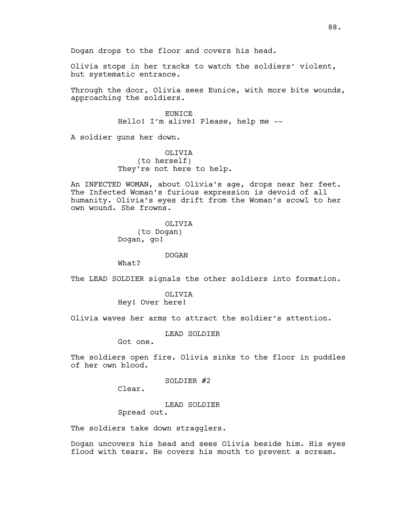Dogan drops to the floor and covers his head.

Olivia stops in her tracks to watch the soldiers' violent, but systematic entrance.

Through the door, Olivia sees Eunice, with more bite wounds, approaching the soldiers.

> **EUNICE** Hello! I'm alive! Please, help me --

A soldier guns her down.

OLIVIA (to herself) They're not here to help.

An INFECTED WOMAN, about Olivia's age, drops near her feet. The Infected Woman's furious expression is devoid of all humanity. Olivia's eyes drift from the Woman's scowl to her own wound. She frowns.

> OLIVIA (to Dogan) Dogan, go!

### DOGAN

What?

The LEAD SOLDIER signals the other soldiers into formation.

OLIVIA Hey! Over here!

Olivia waves her arms to attract the soldier's attention.

LEAD SOLDIER

Got one.

The soldiers open fire. Olivia sinks to the floor in puddles of her own blood.

SOLDIER #2

Clear.

LEAD SOLDIER Spread out.

The soldiers take down stragglers.

Dogan uncovers his head and sees Olivia beside him. His eyes flood with tears. He covers his mouth to prevent a scream.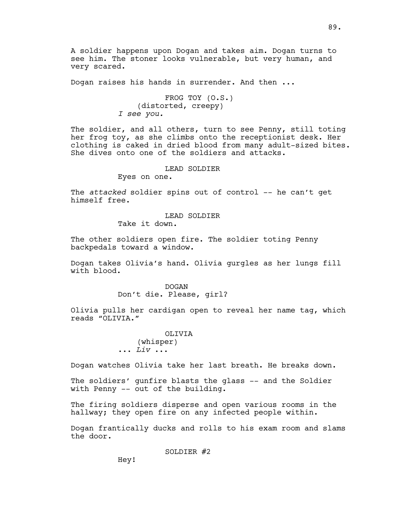A soldier happens upon Dogan and takes aim. Dogan turns to see him. The stoner looks vulnerable, but very human, and very scared.

Dogan raises his hands in surrender. And then ...

FROG TOY (O.S.) (distorted, creepy) *I see you.*

The soldier, and all others, turn to see Penny, still toting her frog toy, as she climbs onto the receptionist desk. Her clothing is caked in dried blood from many adult-sized bites. She dives onto one of the soldiers and attacks.

LEAD SOLDIER

Eyes on one.

The *attacked* soldier spins out of control -- he can't get himself free.

LEAD SOLDIER

Take it down.

The other soldiers open fire. The soldier toting Penny backpedals toward a window.

Dogan takes Olivia's hand. Olivia gurgles as her lungs fill with blood.

> DOGAN Don't die. Please, girl?

Olivia pulls her cardigan open to reveal her name tag, which reads "OLIVIA."

> OLIVIA (whisper) ... *Liv* ...

Dogan watches Olivia take her last breath. He breaks down.

The soldiers' gunfire blasts the glass -- and the Soldier with Penny -- out of the building.

The firing soldiers disperse and open various rooms in the hallway; they open fire on any infected people within.

Dogan frantically ducks and rolls to his exam room and slams the door.

SOLDIER #2

Hey!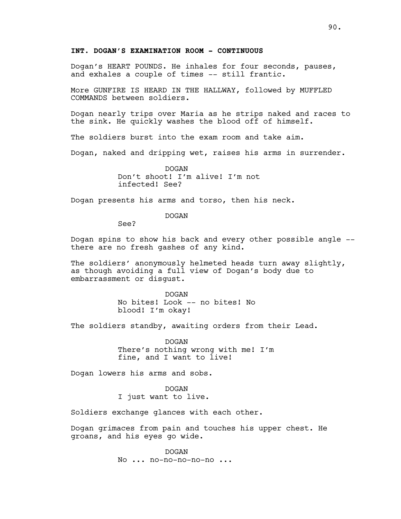# **INT. DOGAN'S EXAMINATION ROOM - CONTINUOUS**

Dogan's HEART POUNDS. He inhales for four seconds, pauses, and exhales a couple of times -- still frantic.

More GUNFIRE IS HEARD IN THE HALLWAY, followed by MUFFLED COMMANDS between soldiers.

Dogan nearly trips over Maria as he strips naked and races to the sink. He quickly washes the blood off of himself.

The soldiers burst into the exam room and take aim.

Dogan, naked and dripping wet, raises his arms in surrender.

DOGAN Don't shoot! I'm alive! I'm not infected! See?

Dogan presents his arms and torso, then his neck.

DOGAN

See?

Dogan spins to show his back and every other possible angle - there are no fresh gashes of any kind.

The soldiers' anonymously helmeted heads turn away slightly, as though avoiding a full view of Dogan's body due to embarrassment or disgust.

> DOGAN No bites! Look -- no bites! No blood! I'm okay!

The soldiers standby, awaiting orders from their Lead.

DOGAN There's nothing wrong with me! I'm fine, and I want to live!

Dogan lowers his arms and sobs.

DOGAN I just want to live.

Soldiers exchange glances with each other.

Dogan grimaces from pain and touches his upper chest. He groans, and his eyes go wide.

> DOGAN No ... no-no-no-no-no ...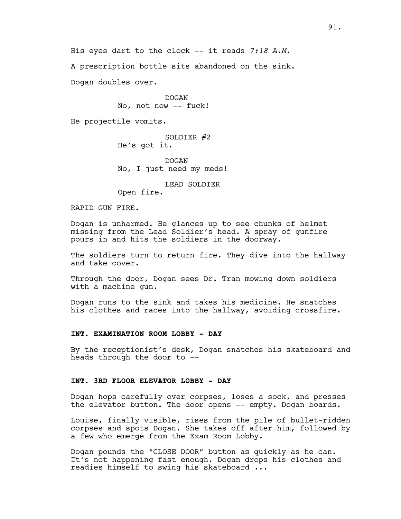A prescription bottle sits abandoned on the sink.

Dogan doubles over.

DOGAN No, not now -- fuck!

He projectile vomits.

## SOLDIER #2 He's got it.

DOGAN No, I just need my meds!

LEAD SOLDIER

Open fire.

RAPID GUN FIRE.

Dogan is unharmed. He glances up to see chunks of helmet missing from the Lead Soldier's head. A spray of gunfire pours in and hits the soldiers in the doorway.

The soldiers turn to return fire. They dive into the hallway and take cover.

Through the door, Dogan sees Dr. Tran mowing down soldiers with a machine gun.

Dogan runs to the sink and takes his medicine. He snatches his clothes and races into the hallway, avoiding crossfire.

## **INT. EXAMINATION ROOM LOBBY - DAY**

By the receptionist's desk, Dogan snatches his skateboard and heads through the door to --

### **INT. 3RD FLOOR ELEVATOR LOBBY - DAY**

Dogan hops carefully over corpses, loses a sock, and presses the elevator button. The door opens -- empty. Dogan boards.

Louise, finally visible, rises from the pile of bullet-ridden corpses and spots Dogan. She takes off after him, followed by a few who emerge from the Exam Room Lobby.

Dogan pounds the "CLOSE DOOR" button as quickly as he can. It's not happening fast enough. Dogan drops his clothes and readies himself to swing his skateboard ...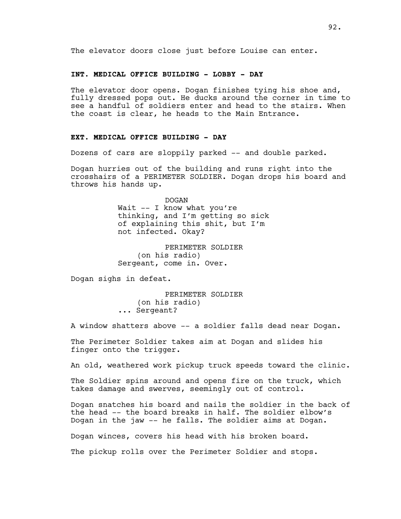## **INT. MEDICAL OFFICE BUILDING - LOBBY - DAY**

The elevator door opens. Dogan finishes tying his shoe and, fully dressed pops out. He ducks around the corner in time to see a handful of soldiers enter and head to the stairs. When the coast is clear, he heads to the Main Entrance.

# **EXT. MEDICAL OFFICE BUILDING - DAY**

Dozens of cars are sloppily parked -- and double parked.

Dogan hurries out of the building and runs right into the crosshairs of a PERIMETER SOLDIER. Dogan drops his board and throws his hands up.

> DOGAN Wait -- I know what you're thinking, and I'm getting so sick of explaining this shit, but I'm not infected. Okay?

PERIMETER SOLDIER (on his radio) Sergeant, come in. Over.

Dogan sighs in defeat.

PERIMETER SOLDIER (on his radio) ... Sergeant?

A window shatters above -- a soldier falls dead near Dogan.

The Perimeter Soldier takes aim at Dogan and slides his finger onto the trigger.

An old, weathered work pickup truck speeds toward the clinic.

The Soldier spins around and opens fire on the truck, which takes damage and swerves, seemingly out of control.

Dogan snatches his board and nails the soldier in the back of the head -- the board breaks in half. The soldier elbow's Dogan in the jaw -- he falls. The soldier aims at Dogan.

Dogan winces, covers his head with his broken board.

The pickup rolls over the Perimeter Soldier and stops.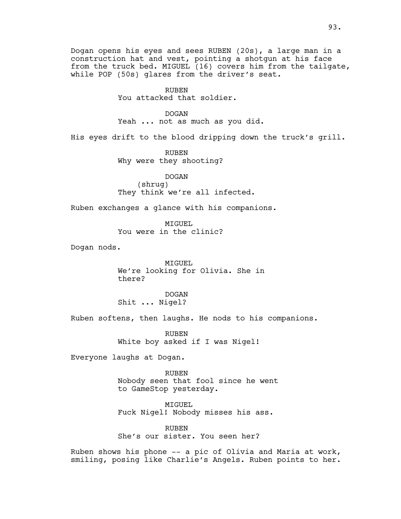Dogan opens his eyes and sees RUBEN (20s), a large man in a construction hat and vest, pointing a shotgun at his face from the truck bed. MIGUEL (16) covers him from the tailgate, while POP (50s) glares from the driver's seat.

> RUBEN You attacked that soldier.

DOGAN Yeah ... not as much as you did.

His eyes drift to the blood dripping down the truck's grill.

RUBEN Why were they shooting?

DOGAN (shrug) They think we're all infected.

Ruben exchanges a glance with his companions.

MTGUEL. You were in the clinic?

Dogan nods.

MIGUEL We're looking for Olivia. She in there?

DOGAN Shit ... Nigel?

Ruben softens, then laughs. He nods to his companions.

RUBEN White boy asked if I was Nigel!

Everyone laughs at Dogan.

RUBEN Nobody seen that fool since he went to GameStop yesterday.

MIGUEL Fuck Nigel! Nobody misses his ass.

RUBEN She's our sister. You seen her?

Ruben shows his phone -- a pic of Olivia and Maria at work, smiling, posing like Charlie's Angels. Ruben points to her.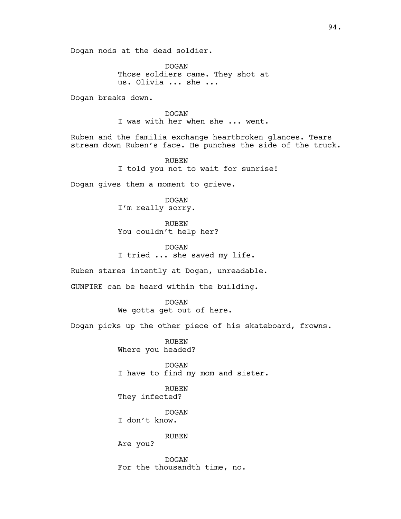DOGAN Those soldiers came. They shot at us. Olivia ... she ...

Dogan breaks down.

DOGAN I was with her when she ... went.

Ruben and the familia exchange heartbroken glances. Tears stream down Ruben's face. He punches the side of the truck.

> RUBEN I told you not to wait for sunrise!

Dogan gives them a moment to grieve.

DOGAN I'm really sorry.

RUBEN You couldn't help her?

DOGAN I tried ... she saved my life.

Ruben stares intently at Dogan, unreadable.

GUNFIRE can be heard within the building.

DOGAN We gotta get out of here.

Dogan picks up the other piece of his skateboard, frowns.

RUBEN Where you headed?

DOGAN I have to find my mom and sister.

RUBEN They infected?

DOGAN I don't know.

RUBEN

Are you?

DOGAN For the thousandth time, no.